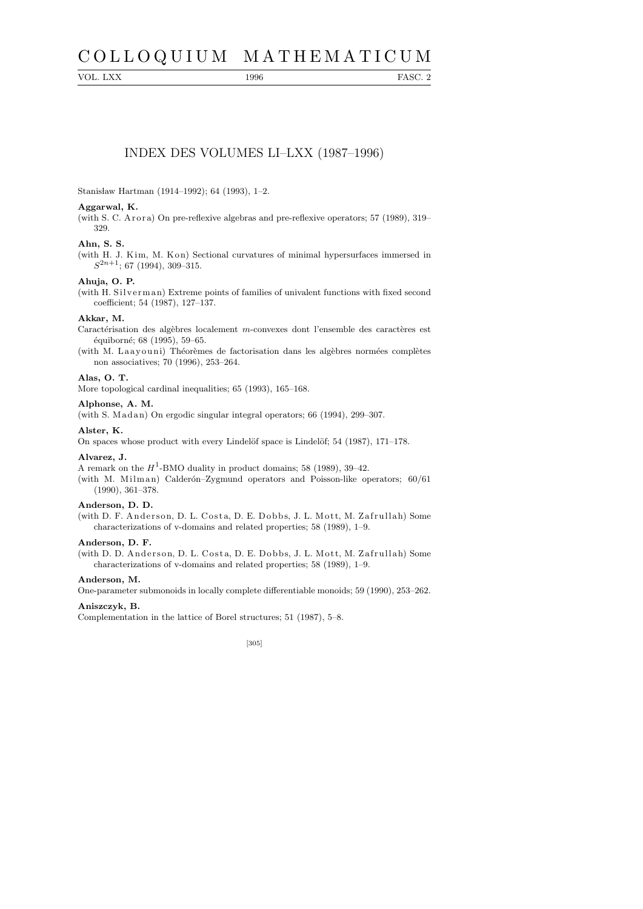# C O L L O Q U I U M M A T H E M A T I C U M

VOL. LXX 1996 FASC. 2

# INDEX DES VOLUMES LI–LXX (1987–1996)

Stanisław Hartman (1914–1992); 64 (1993), 1-2.

# **Aggarwal, K.**

(with S. C. A r or a) On pre-reflexive algebras and pre-reflexive operators;  $57$  (1989),  $319-$ 329.

# **Ahn, S. S.**

(with H. J. Kim, M. Kon) Sectional curvatures of minimal hypersurfaces immersed in *S* <sup>2</sup>*n*+1; 67 (1994), 309–315.

# **Ahuja, O. P.**

(with H. Silverman) Extreme points of families of univalent functions with fixed second coefficient; 54 (1987), 127–137.

## **Akkar, M.**

Caractérisation des algèbres localement *m*-convexes dont l'ensemble des caractères est équiborné; 68 (1995), 59–65.

(with M. Laayouni) Théorèmes de factorisation dans les algèbres normées complètes non associatives; 70 (1996), 253–264.

## **Alas, O. T.**

More topological cardinal inequalities; 65 (1993), 165–168.

#### **Alphonse, A. M.**

(with S. Madan) On ergodic singular integral operators;  $66$  (1994), 299–307.

#### **Alster, K.**

On spaces whose product with every Lindelöf space is Lindelöf;  $54$  (1987), 171–178.

## **Alvarez, J.**

A remark on the  $H^1$ -BMO duality in product domains; 58 (1989), 39–42.

(with M. Milman) Calderón–Zygmund operators and Poisson-like operators;  $60/61$ (1990), 361–378.

## **Anderson, D. D.**

(with D. F. Anderson, D. L. Costa, D. E. Dobbs, J. L. Mott, M. Zafrullah) Some characterizations of v-domains and related properties; 58 (1989), 1–9.

# **Anderson, D. F.**

(with D. D. Anderson, D. L. Costa, D. E. Dobbs, J. L. Mott, M. Zafrullah) Some characterizations of v-domains and related properties; 58 (1989), 1–9.

#### **Anderson, M.**

One-parameter submonoids in locally complete differentiable monoids; 59 (1990), 253–262.

# **Aniszczyk, B.**

Complementation in the lattice of Borel structures; 51 (1987), 5–8.

# [305]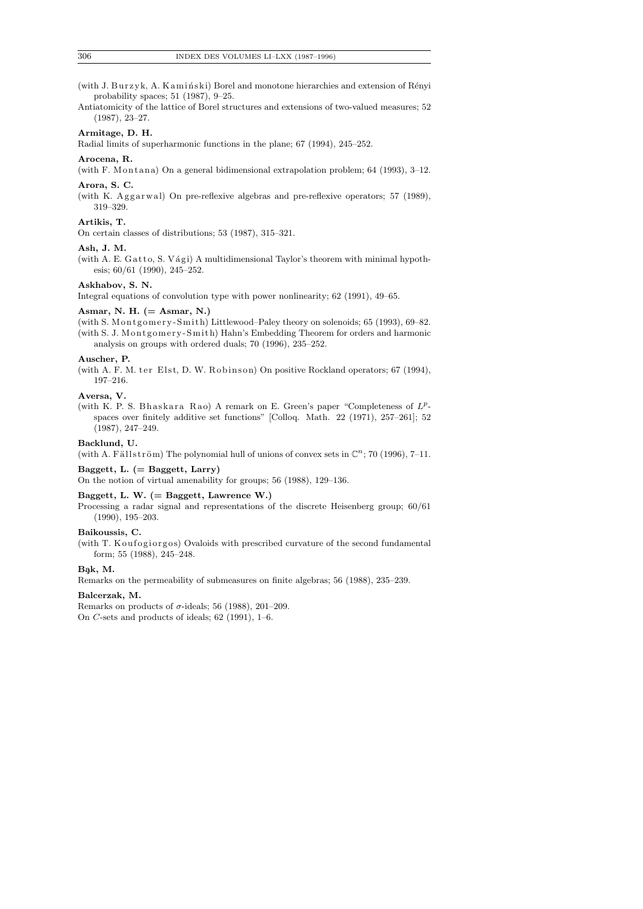(with J. Burzyk, A. Kamiński) Borel and monotone hierarchies and extension of Rényi probability spaces; 51 (1987), 9–25.

Antiatomicity of the lattice of Borel structures and extensions of two-valued measures; 52 (1987), 23–27.

### **Armitage, D. H.**

Radial limits of superharmonic functions in the plane; 67 (1994), 245–252.

## **Arocena, R.**

(with F. Montana) On a general bidimensional extrapolation problem;  $64$  (1993), 3–12.

## **Arora, S. C.**

(with K. Aggarwal) On pre-reflexive algebras and pre-reflexive operators; 57 (1989), 319–329.

## **Artikis, T.**

On certain classes of distributions; 53 (1987), 315–321.

#### **Ash, J. M.**

(with A. E. Gatto, S. Vági) A multidimensional Taylor's theorem with minimal hypothesis; 60/61 (1990), 245–252.

## **Askhabov, S. N.**

Integral equations of convolution type with power nonlinearity; 62 (1991), 49–65.

#### **Asmar, N. H. (= Asmar, N.)**

(with S. Montgomery-Smith) Littlewood–Paley theory on solenoids; 65 (1993), 69–82. (with S. J. Montgomery-Smith) Hahn's Embedding Theorem for orders and harmonic analysis on groups with ordered duals; 70 (1996), 235–252.

#### **Auscher, P.**

(with A. F. M. ter Elst, D. W. Robinson) On positive Rockland operators;  $67$  (1994), 197–216.

## **Aversa, V.**

(with K. P. S. Bhaskara Rao) A remark on E. Green's paper "Completeness of  $L^p$ spaces over finitely additive set functions" [Colloq. Math. 22 (1971), 257–261]; 52 (1987), 247–249.

## **Backlund, U.**

(with A. Fällström) The polynomial hull of unions of convex sets in  $\mathbb{C}^n$ ; 70 (1996), 7-11.

#### **Baggett, L. (= Baggett, Larry)**

On the notion of virtual amenability for groups; 56 (1988), 129–136.

#### **Baggett, L. W. (= Baggett, Lawrence W.)**

Processing a radar signal and representations of the discrete Heisenberg group; 60/61 (1990), 195–203.

## **Baikoussis, C.**

(with T. Koufogiorgos) Ovaloids with prescribed curvature of the second fundamental form; 55 (1988), 245–248.

# **B¸ak, M.**

Remarks on the permeability of submeasures on finite algebras; 56 (1988), 235–239.

## **Balcerzak, M.**

Remarks on products of  $\sigma$ -ideals; 56 (1988), 201–209. On *C*-sets and products of ideals; 62 (1991), 1–6.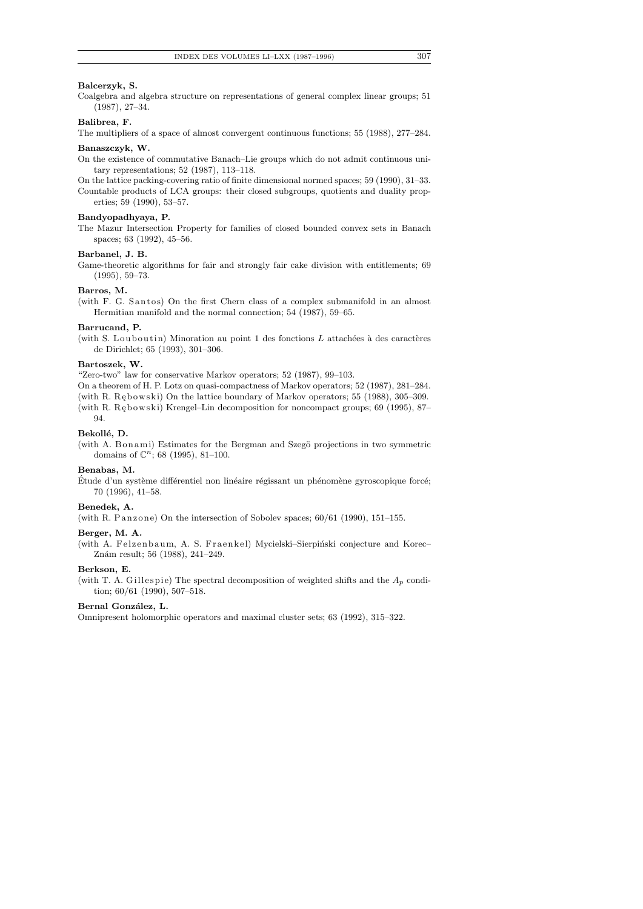## **Balcerzyk, S.**

Coalgebra and algebra structure on representations of general complex linear groups; 51 (1987), 27–34.

# **Balibrea, F.**

The multipliers of a space of almost convergent continuous functions; 55 (1988), 277–284.

#### **Banaszczyk, W.**

On the existence of commutative Banach–Lie groups which do not admit continuous unitary representations; 52 (1987), 113–118.

On the lattice packing-covering ratio of finite dimensional normed spaces; 59 (1990), 31–33. Countable products of LCA groups: their closed subgroups, quotients and duality properties; 59 (1990), 53–57.

#### **Bandyopadhyaya, P.**

The Mazur Intersection Property for families of closed bounded convex sets in Banach spaces; 63 (1992), 45–56.

## **Barbanel, J. B.**

Game-theoretic algorithms for fair and strongly fair cake division with entitlements; 69 (1995), 59–73.

#### **Barros, M.**

(with F. G. Santos) On the first Chern class of a complex submanifold in an almost Hermitian manifold and the normal connection; 54 (1987), 59–65.

#### **Barrucand, P.**

(with S. Louboutin) Minoration au point 1 des fonctions *L* attachées à des caractères de Dirichlet; 65 (1993), 301–306.

## **Bartoszek, W.**

"Zero-two" law for conservative Markov operators; 52 (1987), 99–103.

On a theorem of H. P. Lotz on quasi-compactness of Markov operators; 52 (1987), 281–284. (with R. Rębowski) On the lattice boundary of Markov operators; 55 (1988), 305–309. (with R. Rębowski) Krengel–Lin decomposition for noncompact groups; 69 (1995), 87–

# 94. Bekollé, D.

(with A. Bonami) Estimates for the Bergman and Szegö projections in two symmetric domains of  $\mathbb{C}^n$ ; 68 (1995), 81-100.

#### **Benabas, M.**

Étude d'un système différentiel non linéaire régissant un phénomène gyroscopique forcé; 70 (1996), 41–58.

## **Benedek, A.**

(with R. Panzone) On the intersection of Sobolev spaces;  $60/61$  (1990), 151-155.

#### **Berger, M. A.**

(with A. Felzenbaum, A. S. Fraenkel) Mycielski-Sierpiński conjecture and Korec-Znám result; 56 (1988), 241-249.

#### **Berkson, E.**

(with T. A. Gillespie) The spectral decomposition of weighted shifts and the  $A_p$  condition; 60/61 (1990), 507–518.

## Bernal González, L.

Omnipresent holomorphic operators and maximal cluster sets; 63 (1992), 315–322.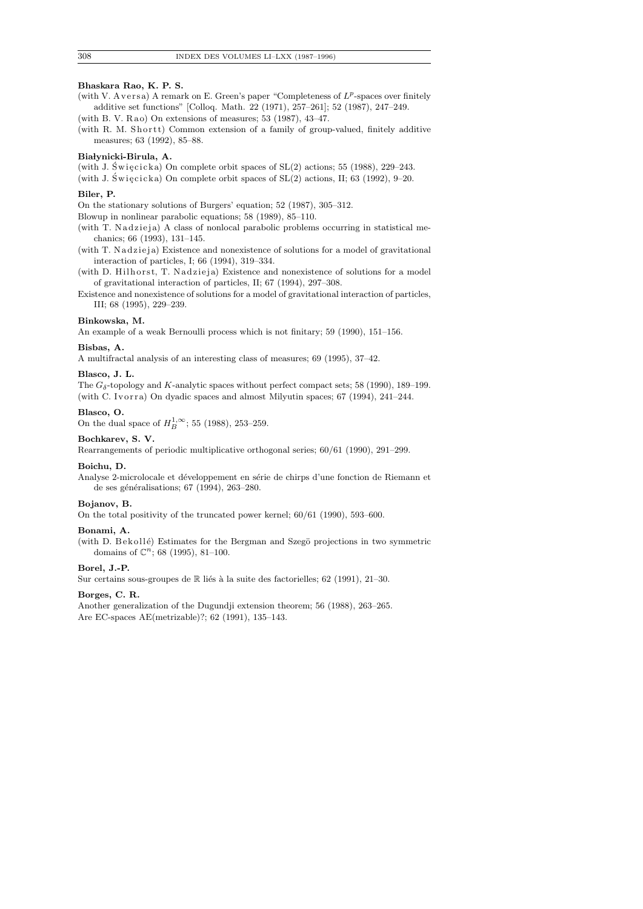# **Bhaskara Rao, K. P. S.**

- (with V. Aversa) A remark on E. Green's paper "Completeness of  $L^p$ -spaces over finitely additive set functions" [Colloq. Math. 22 (1971), 257–261]; 52 (1987), 247–249.
- (with B. V. Rao) On extensions of measures;  $53$  (1987),  $43-47$ .
- (with R. M. Shortt) Common extension of a family of group-valued, finitely additive measures; 63 (1992), 85–88.

## **Bia lynicki-Birula, A.**

(with J. Święcicka) On complete orbit spaces of  $SL(2)$  actions; 55 (1988), 229–243.

(with J. Święcicka) On complete orbit spaces of  $SL(2)$  actions, II; 63 (1992), 9–20.

# **Biler, P.**

On the stationary solutions of Burgers' equation; 52 (1987), 305–312.

Blowup in nonlinear parabolic equations; 58 (1989), 85–110.

(with T. Nadzieja) A class of nonlocal parabolic problems occurring in statistical mechanics; 66 (1993), 131–145.

(with T. Nadzieja) Existence and nonexistence of solutions for a model of gravitational interaction of particles, I; 66 (1994), 319–334.

(with D. Hilhorst, T. Nadzieja) Existence and nonexistence of solutions for a model of gravitational interaction of particles, II; 67 (1994), 297–308.

Existence and nonexistence of solutions for a model of gravitational interaction of particles, III; 68 (1995), 229–239.

## **Binkowska, M.**

An example of a weak Bernoulli process which is not finitary; 59 (1990), 151–156.

#### **Bisbas, A.**

A multifractal analysis of an interesting class of measures; 69 (1995), 37–42.

#### **Blasco, J. L.**

The  $G_{\delta}$ -topology and *K*-analytic spaces without perfect compact sets; 58 (1990), 189–199. (with C. Ivorra) On dyadic spaces and almost Milyutin spaces;  $67$  (1994),  $241-244$ .

#### **Blasco, O.**

On the dual space of  $H_B^{1,\infty}$ ; 55 (1988), 253–259.

#### **Bochkarev, S. V.**

Rearrangements of periodic multiplicative orthogonal series; 60/61 (1990), 291–299.

## **Boichu, D.**

Analyse 2-microlocale et développement en série de chirps d'une fonction de Riemann et de ses généralisations; 67 (1994), 263-280.

#### **Bojanov, B.**

On the total positivity of the truncated power kernel; 60/61 (1990), 593–600.

## **Bonami, A.**

(with D. Bekollé) Estimates for the Bergman and Szegö projections in two symmetric domains of  $\mathbb{C}^n$ ; 68 (1995), 81-100.

## **Borel, J.-P.**

Sur certains sous-groupes de  $\mathbb R$  liés à la suite des factorielles; 62 (1991), 21–30.

## **Borges, C. R.**

Another generalization of the Dugundji extension theorem; 56 (1988), 263–265. Are EC-spaces AE(metrizable)?; 62 (1991), 135–143.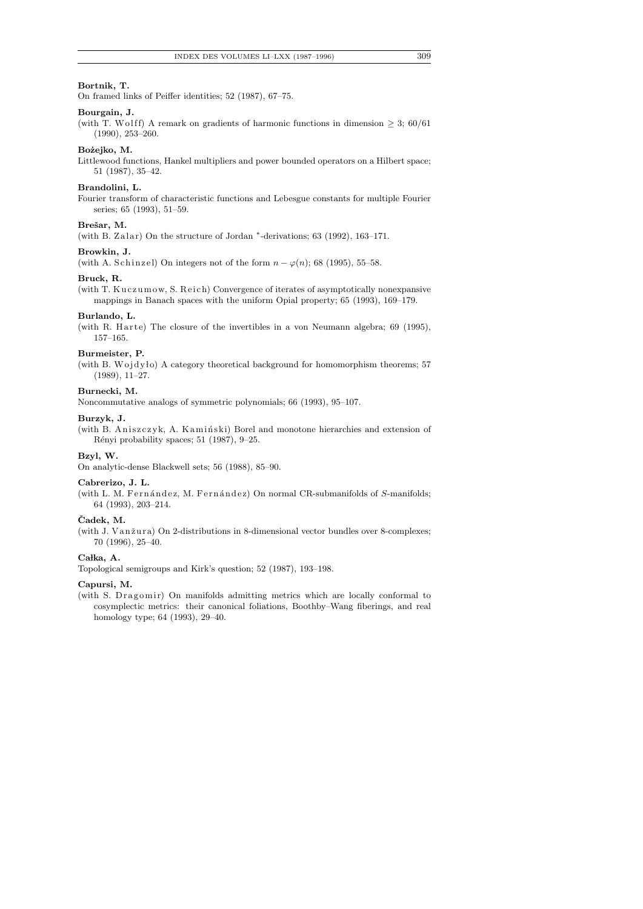# **Bortnik, T.**

On framed links of Peiffer identities; 52 (1987), 67–75.

## **Bourgain, J.**

(with T. Wolff) A remark on gradients of harmonic functions in dimension  $\geq 3$ ; 60/61 (1990), 253–260.

#### **Bo ˙zejko, M.**

Littlewood functions, Hankel multipliers and power bounded operators on a Hilbert space; 51 (1987), 35–42.

#### **Brandolini, L.**

Fourier transform of characteristic functions and Lebesgue constants for multiple Fourier series; 65 (1993), 51–59.

#### **Breˇsar, M.**

(with B. Zalar) On the structure of Jordan <sup>\*</sup>-derivations; 63 (1992), 163–171.

#### **Browkin, J.**

(with A. Schinzel) On integers not of the form  $n - \varphi(n)$ ; 68 (1995), 55–58.

#### **Bruck, R.**

(with T. Kuczumow, S. Reich) Convergence of iterates of asymptotically nonexpansive mappings in Banach spaces with the uniform Opial property; 65 (1993), 169–179.

#### **Burlando, L.**

(with R. Harte) The closure of the invertibles in a von Neumann algebra;  $69$  (1995), 157–165.

## **Burmeister, P.**

(with B. Wojdyło) A category theoretical background for homomorphism theorems;  $57$ (1989), 11–27.

## **Burnecki, M.**

Noncommutative analogs of symmetric polynomials; 66 (1993), 95–107.

#### **Burzyk, J.**

(with B. Aniszczyk, A. Kamiński) Borel and monotone hierarchies and extension of Rényi probability spaces; 51 (1987), 9–25.

## **Bzyl, W.**

On analytic-dense Blackwell sets; 56 (1988), 85–90.

## **Cabrerizo, J. L.**

(with L. M. Fernández, M. Fernández) On normal CR-submanifolds of *S*-manifolds; 64 (1993), 203–214.

#### **Cadek, M. ˇ**

(with J. Vanžura) On 2-distributions in 8-dimensional vector bundles over 8-complexes; 70 (1996), 25–40.

## Całka, A.

Topological semigroups and Kirk's question; 52 (1987), 193–198.

#### **Capursi, M.**

(with S. Dragomir) On manifolds admitting metrics which are locally conformal to cosymplectic metrics: their canonical foliations, Boothby–Wang fiberings, and real homology type; 64 (1993), 29–40.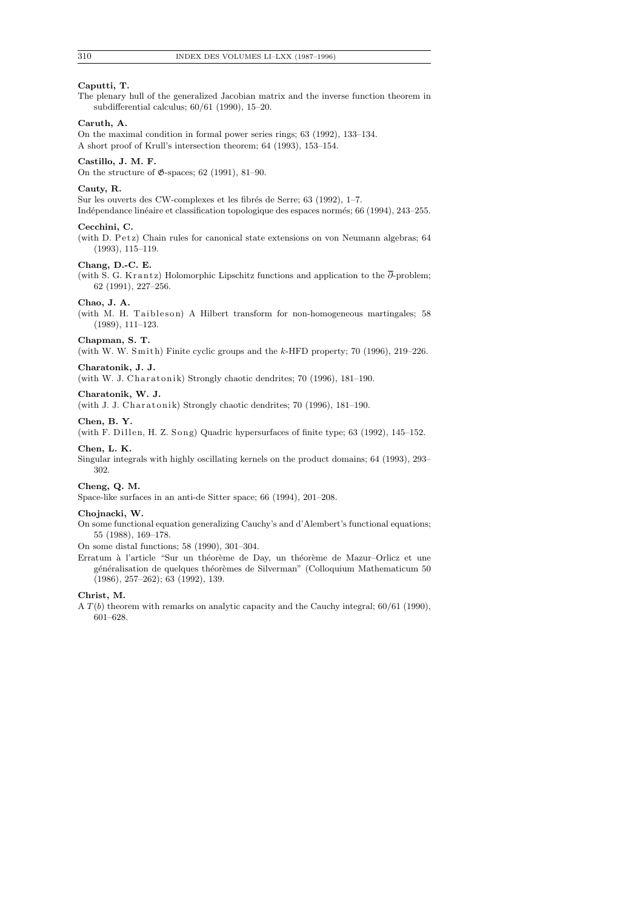# **Caputti, T.**

The plenary hull of the generalized Jacobian matrix and the inverse function theorem in subdifferential calculus; 60/61 (1990), 15–20.

# **Caruth, A.**

On the maximal condition in formal power series rings; 63 (1992), 133–134. A short proof of Krull's intersection theorem; 64 (1993), 153–154.

#### **Castillo, J. M. F.**

On the structure of  $\mathfrak{G}$ -spaces; 62 (1991), 81–90.

## **Cauty, R.**

Sur les ouverts des CW-complexes et les fibrés de Serre; 63 (1992), 1–7. Indépendance linéaire et classification topologique des espaces normés; 66 (1994), 243-255.

#### **Cecchini, C.**

(with D. Petz) Chain rules for canonical state extensions on von Neumann algebras; 64 (1993), 115–119.

## **Chang, D.-C. E.**

(with S. G. Krantz) Holomorphic Lipschitz functions and application to the  $\overline{\partial}$ -problem; 62 (1991), 227–256.

## **Chao, J. A.**

(with M. H. Taibleson) A Hilbert transform for non-homogeneous martingales; 58 (1989), 111–123.

#### **Chapman, S. T.**

(with W. W. Smith) Finite cyclic groups and the *k*-HFD property; 70 (1996), 219–226.

#### **Charatonik, J. J.**

(with W. J. Charatonik) Strongly chaotic dendrites;  $70$  (1996), 181-190.

## **Charatonik, W. J.**

(with J. J. Charatonik) Strongly chaotic dendrites;  $70$  (1996), 181-190.

## **Chen, B. Y.**

(with F. Dillen, H. Z. Song) Quadric hypersurfaces of finite type; 63 (1992), 145-152.

#### **Chen, L. K.**

Singular integrals with highly oscillating kernels on the product domains; 64 (1993), 293– 302.

## **Cheng, Q. M.**

Space-like surfaces in an anti-de Sitter space; 66 (1994), 201–208.

## **Chojnacki, W.**

On some functional equation generalizing Cauchy's and d'Alembert's functional equations; 55 (1988), 169–178.

On some distal functions; 58 (1990), 301–304.

Erratum à l'article "Sur un théorème de Day, un théorème de Mazur-Orlicz et une généralisation de quelques théorèmes de Silverman" (Colloquium Mathematicum 50 (1986), 257–262); 63 (1992), 139.

# **Christ, M.**

A *T*(*b*) theorem with remarks on analytic capacity and the Cauchy integral; 60/61 (1990), 601–628.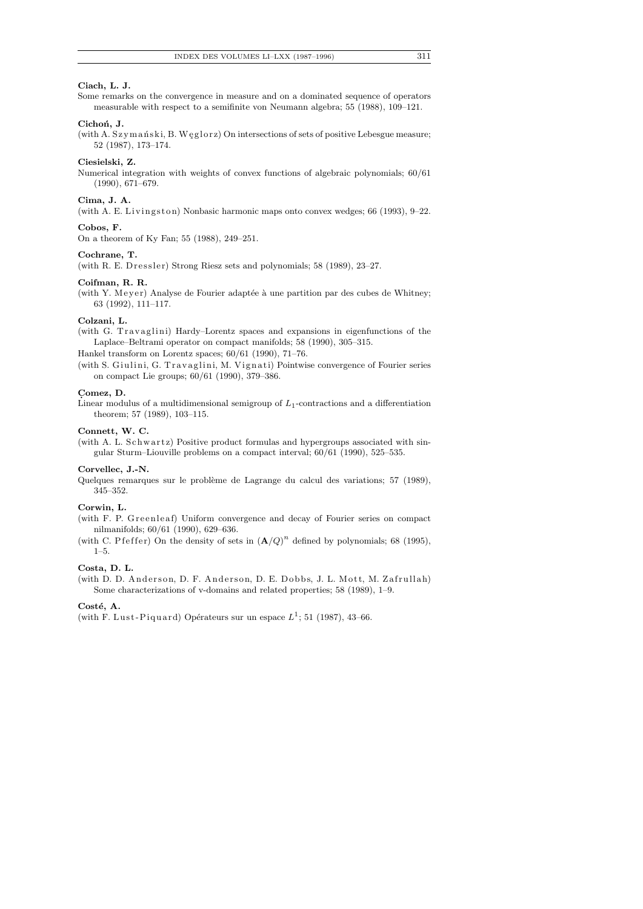# **Ciach, L. J.**

Some remarks on the convergence in measure and on a dominated sequence of operators measurable with respect to a semifinite von Neumann algebra; 55 (1988), 109–121.

## Cichoń, J.

(with A. Szymański, B. Weglorz) On intersections of sets of positive Lebesgue measure; 52 (1987), 173–174.

#### **Ciesielski, Z.**

Numerical integration with weights of convex functions of algebraic polynomials; 60/61 (1990), 671–679.

#### **Cima, J. A.**

(with A. E. Livingston) Nonbasic harmonic maps onto convex wedges; 66 (1993), 9-22.

#### **Cobos, F.**

On a theorem of Ky Fan; 55 (1988), 249–251.

#### **Cochrane, T.**

(with R. E. D $ressler$ ) Strong Riesz sets and polynomials; 58 (1989), 23-27.

#### **Coifman, R. R.**

(with Y. Meyer) Analyse de Fourier adaptée à une partition par des cubes de Whitney; 63 (1992), 111–117.

## **Colzani, L.**

(with G. Travaglini) Hardy–Lorentz spaces and expansions in eigenfunctions of the Laplace–Beltrami operator on compact manifolds; 58 (1990), 305–315.

Hankel transform on Lorentz spaces; 60/61 (1990), 71–76.

(with S. Giulini, G. Travaglini, M. Vignati) Pointwise convergence of Fourier series on compact Lie groups; 60/61 (1990), 379–386.

#### **C. omez, D.**

Linear modulus of a multidimensional semigroup of *L*1-contractions and a differentiation theorem; 57 (1989), 103–115.

#### **Connett, W. C.**

(with A. L. Schwartz) Positive product formulas and hypergroups associated with singular Sturm–Liouville problems on a compact interval; 60/61 (1990), 525–535.

#### **Corvellec, J.-N.**

Quelques remarques sur le problème de Lagrange du calcul des variations; 57 (1989), 345–352.

#### **Corwin, L.**

(with F. P. Greenleaf) Uniform convergence and decay of Fourier series on compact nilmanifolds; 60/61 (1990), 629–636.

(with C. P f e f f e r) On the density of sets in  $(\mathbf{A}/Q)^n$  defined by polynomials; 68 (1995), 1–5.

## **Costa, D. L.**

(with D. D. Anderson, D. F. Anderson, D. E. Dobbs, J. L. Mott, M. Zafrullah) Some characterizations of v-domains and related properties; 58 (1989), 1–9.

## Costé, A.

(with F. Lust-Piquard) Opérateurs sur un espace  $L^1$ ; 51 (1987), 43–66.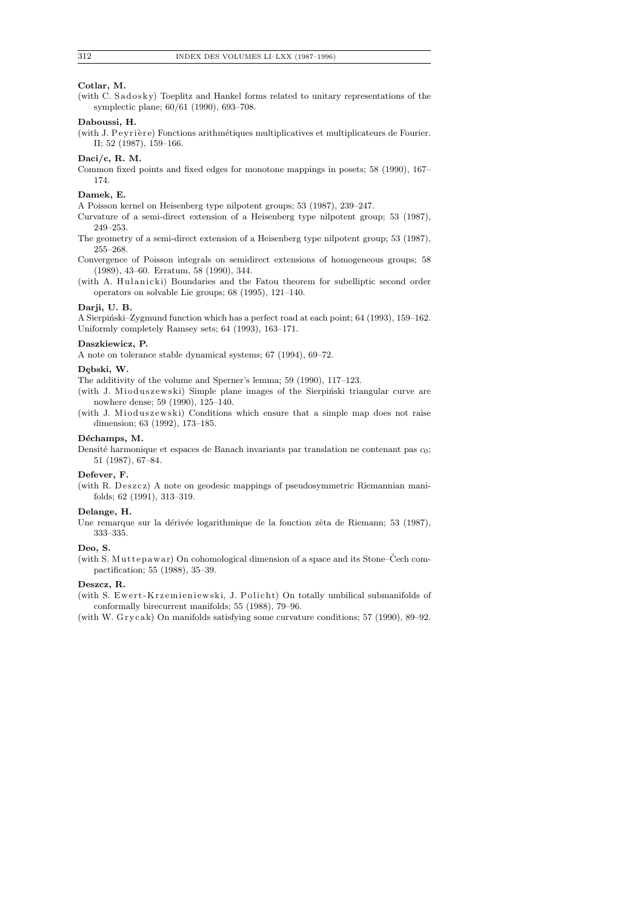## **Cotlar, M.**

(with C. Sadosky) Toeplitz and Hankel forms related to unitary representations of the symplectic plane; 60/61 (1990), 693–708.

# **Daboussi, H.**

(with J. P ey rière) Fonctions arithmétiques multiplicatives et multiplicateurs de Fourier. II; 52 (1987), 159–166.

## **Daci/c, R. M.**

Common fixed points and fixed edges for monotone mappings in posets; 58 (1990), 167– 174.

#### **Damek, E.**

A Poisson kernel on Heisenberg type nilpotent groups; 53 (1987), 239–247.

Curvature of a semi-direct extension of a Heisenberg type nilpotent group; 53 (1987), 249–253.

The geometry of a semi-direct extension of a Heisenberg type nilpotent group; 53 (1987), 255–268.

Convergence of Poisson integrals on semidirect extensions of homogeneous groups; 58 (1989), 43–60. Erratum, 58 (1990), 344.

(with A. Hulanicki) Boundaries and the Fatou theorem for subelliptic second order operators on solvable Lie groups; 68 (1995), 121–140.

## **Darji, U. B.**

A Sierpiński–Zygmund function which has a perfect road at each point; 64 (1993), 159–162. Uniformly completely Ramsey sets; 64 (1993), 163–171.

#### **Daszkiewicz, P.**

A note on tolerance stable dynamical systems; 67 (1994), 69–72.

#### **D¸ebski, W.**

The additivity of the volume and Sperner's lemma; 59 (1990), 117–123.

(with J. Mioduszewski) Simple plane images of the Sierpinski triangular curve are nowhere dense; 59 (1990), 125–140.

(with J. Mioduszewski) Conditions which ensure that a simple map does not raise dimension; 63 (1992), 173–185.

## Déchamps, M.

Densité harmonique et espaces de Banach invariants par translation ne contenant pas  $c_0$ ; 51 (1987), 67–84.

## **Defever, F.**

(with R. Deszcz) A note on geodesic mappings of pseudosymmetric Riemannian manifolds; 62 (1991), 313–319.

# **Delange, H.**

Une remarque sur la dérivée logarithmique de la fonction zêta de Riemann; 53 (1987), 333–335.

## **Deo, S.**

(with S. Muttepawar) On cohomological dimension of a space and its Stone–Čech compactification; 55 (1988), 35–39.

#### **Deszcz, R.**

(with S. Ewert-Krzemieniewski, J. Policht) On totally umbilical submanifolds of conformally birecurrent manifolds; 55 (1988), 79–96.

(with W. Grycak) On manifolds satisfying some curvature conditions;  $57$  (1990),  $89-92$ .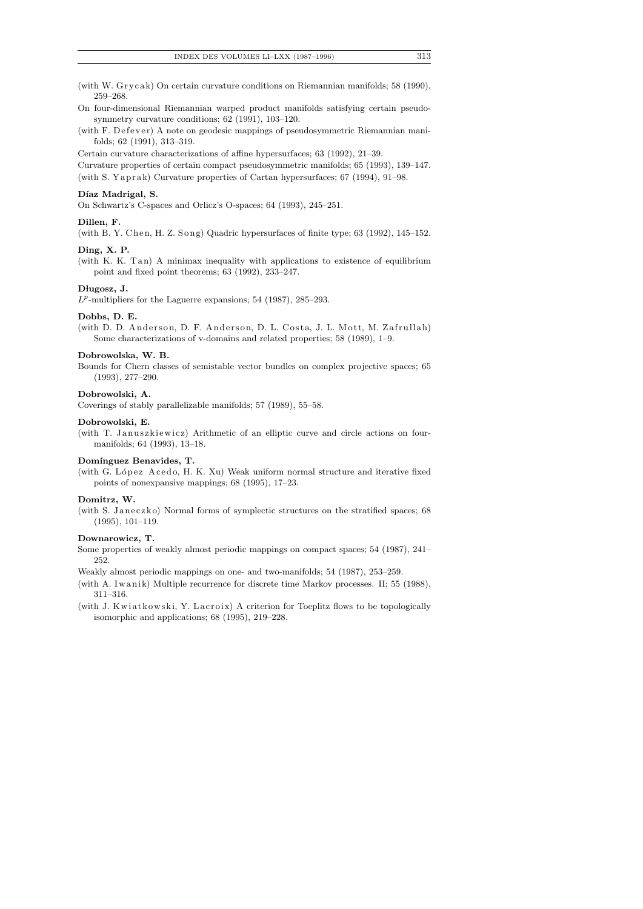(with W. Grycak) On certain curvature conditions on Riemannian manifolds; 58 (1990), 259–268.

On four-dimensional Riemannian warped product manifolds satisfying certain pseudosymmetry curvature conditions; 62 (1991), 103–120.

(with F. Defever) A note on geodesic mappings of pseudosymmetric Riemannian manifolds; 62 (1991), 313–319.

Certain curvature characterizations of affine hypersurfaces; 63 (1992), 21–39.

Curvature properties of certain compact pseudosymmetric manifolds; 65 (1993), 139–147. (with S. Yaprak) Curvature properties of Cartan hypersurfaces;  $67$  (1994), 91–98.

#### Díaz Madrigal, S.

On Schwartz's C-spaces and Orlicz's O-spaces; 64 (1993), 245–251.

## **Dillen, F.**

(with B. Y. Chen, H. Z. Song) Quadric hypersurfaces of finite type;  $63$  (1992),  $145-152$ .

## **Ding, X. P.**

(with K. K. Tan) A minimax inequality with applications to existence of equilibrium point and fixed point theorems; 63 (1992), 233–247.

#### Długosz, J.

 $L^p$ -multipliers for the Laguerre expansions; 54 (1987), 285–293.

## **Dobbs, D. E.**

(with D. D. Anderson, D. F. Anderson, D. L. Costa, J. L. Mott, M. Zafrullah) Some characterizations of v-domains and related properties; 58 (1989), 1–9.

#### **Dobrowolska, W. B.**

Bounds for Chern classes of semistable vector bundles on complex projective spaces; 65 (1993), 277–290.

#### **Dobrowolski, A.**

Coverings of stably parallelizable manifolds; 57 (1989), 55–58.

#### **Dobrowolski, E.**

(with T. Januszkiewicz) Arithmetic of an elliptic curve and circle actions on fourmanifolds; 64 (1993), 13–18.

## Domínguez Benavides, T.

(with G. López Acedo, H. K. Xu) Weak uniform normal structure and iterative fixed points of nonexpansive mappings; 68 (1995), 17–23.

#### **Domitrz, W.**

(with S. Janeczko) Normal forms of symplectic structures on the stratified spaces; 68 (1995), 101–119.

## **Downarowicz, T.**

Some properties of weakly almost periodic mappings on compact spaces; 54 (1987), 241– 252.

Weakly almost periodic mappings on one- and two-manifolds; 54 (1987), 253–259.

- (with A. Iwanik) Multiple recurrence for discrete time Markov processes. II; 55 (1988), 311–316.
- (with J. Kwiatkowski, Y. Lacroix) A criterion for Toeplitz flows to be topologically isomorphic and applications; 68 (1995), 219–228.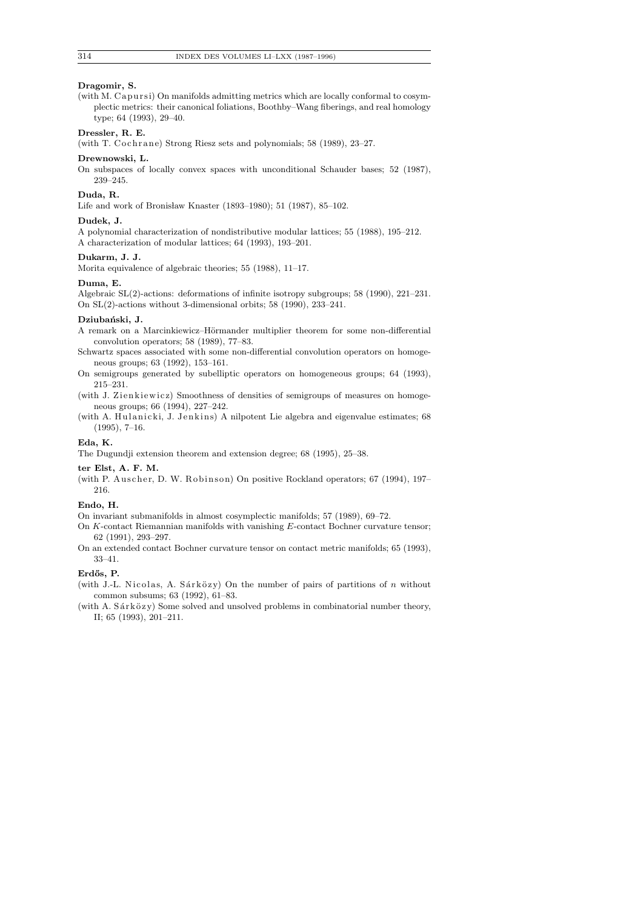## **Dragomir, S.**

(with M. Capursi) On manifolds admitting metrics which are locally conformal to cosymplectic metrics: their canonical foliations, Boothby–Wang fiberings, and real homology type; 64 (1993), 29–40.

## **Dressler, R. E.**

(with T. Cochrane) Strong Riesz sets and polynomials;  $58$  (1989),  $23-27$ .

## **Drewnowski, L.**

On subspaces of locally convex spaces with unconditional Schauder bases; 52 (1987), 239–245.

## **Duda, R.**

Life and work of Bronisław Knaster (1893–1980); 51 (1987), 85–102.

## **Dudek, J.**

A polynomial characterization of nondistributive modular lattices; 55 (1988), 195–212. A characterization of modular lattices; 64 (1993), 193–201.

#### **Dukarm, J. J.**

Morita equivalence of algebraic theories; 55 (1988), 11–17.

#### **Duma, E.**

Algebraic SL(2)-actions: deformations of infinite isotropy subgroups; 58 (1990), 221–231. On SL(2)-actions without 3-dimensional orbits; 58 (1990), 233–241.

#### Dziubański, J.

- A remark on a Marcinkiewicz–Hörmander multiplier theorem for some non-differential convolution operators; 58 (1989), 77–83.
- Schwartz spaces associated with some non-differential convolution operators on homogeneous groups; 63 (1992), 153–161.
- On semigroups generated by subelliptic operators on homogeneous groups; 64 (1993), 215–231.

(with J. Zienkiewicz) Smoothness of densities of semigroups of measures on homogeneous groups; 66 (1994), 227–242.

(with A. Hulanicki, J. Jenkins) A nilpotent Lie algebra and eigenvalue estimates; 68  $(1995), 7-16.$ 

# **Eda, K.**

The Dugundji extension theorem and extension degree; 68 (1995), 25–38.

#### **ter Elst, A. F. M.**

(with P. Auscher, D. W. Robinson) On positive Rockland operators;  $67$  (1994), 197– 216.

#### **Endo, H.**

On invariant submanifolds in almost cosymplectic manifolds; 57 (1989), 69–72.

On *K*-contact Riemannian manifolds with vanishing *E*-contact Bochner curvature tensor; 62 (1991), 293–297.

On an extended contact Bochner curvature tensor on contact metric manifolds; 65 (1993), 33–41.

## **Erd˝os, P.**

(with J.-L. Nicolas, A. Sárközy) On the number of pairs of partitions of  $n$  without common subsums; 63 (1992), 61–83.

(with A.  $Sárközy$ ) Some solved and unsolved problems in combinatorial number theory, II; 65 (1993), 201–211.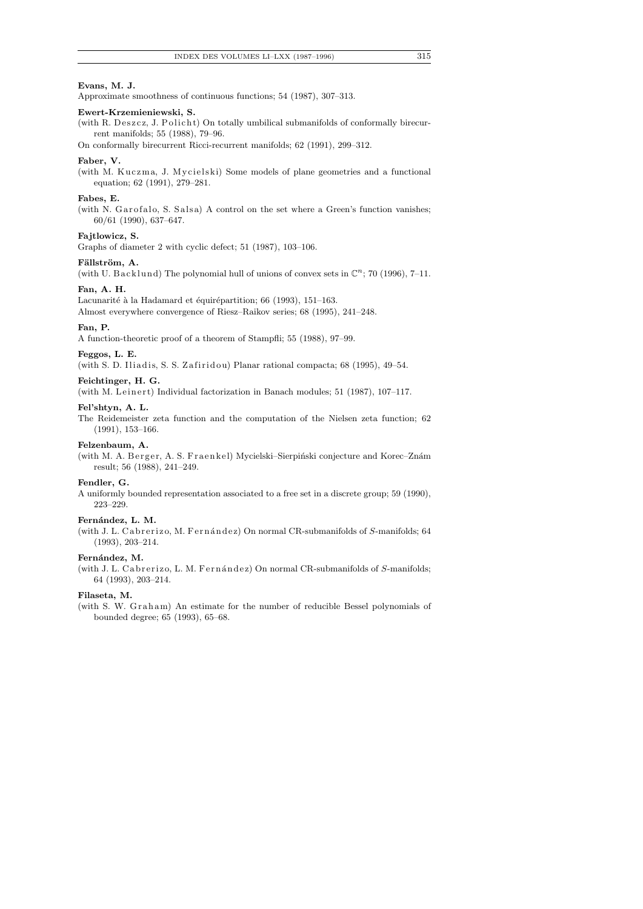## **Evans, M. J.**

Approximate smoothness of continuous functions; 54 (1987), 307–313.

## **Ewert-Krzemieniewski, S.**

(with R. Deszcz, J. Policht) On totally umbilical submanifolds of conformally birecurrent manifolds; 55 (1988), 79–96.

On conformally birecurrent Ricci-recurrent manifolds; 62 (1991), 299–312.

#### **Faber, V.**

(with M. Kuczma, J. Mycielski) Some models of plane geometries and a functional equation; 62 (1991), 279–281.

#### **Fabes, E.**

(with N. Garofalo, S. Salsa) A control on the set where a Green's function vanishes; 60/61 (1990), 637–647.

## **Fajtlowicz, S.**

Graphs of diameter 2 with cyclic defect; 51 (1987), 103–106.

## Fällström, A.

(with U. Backlund) The polynomial hull of unions of convex sets in  $\mathbb{C}^n$ ; 70 (1996), 7-11.

# **Fan, A. H.**

Lacunarité à la Hadamard et équirépartition; 66 (1993), 151–163.

Almost everywhere convergence of Riesz–Raikov series; 68 (1995), 241–248.

## **Fan, P.**

A function-theoretic proof of a theorem of Stampfli; 55 (1988), 97–99.

## **Feggos, L. E.**

(with S. D. Iliadis, S. S. Zafiridou) Planar rational compacta; 68 (1995), 49-54.

#### **Feichtinger, H. G.**

(with M. Leinert) Individual factorization in Banach modules; 51 (1987), 107-117.

#### **Fel'shtyn, A. L.**

The Reidemeister zeta function and the computation of the Nielsen zeta function; 62 (1991), 153–166.

## **Felzenbaum, A.**

(with M. A. Berger, A. S. Fraenkel) Mycielski-Sierpiński conjecture and Korec-Znám result; 56 (1988), 241–249.

## **Fendler, G.**

A uniformly bounded representation associated to a free set in a discrete group; 59 (1990), 223–229.

#### Fernández, L. M.

(with J. L. Cabrerizo, M. Fernández) On normal CR-submanifolds of *S*-manifolds; 64 (1993), 203–214.

#### Fernández, M.

(with J. L. Cabrerizo, L. M. Fernández) On normal CR-submanifolds of *S*-manifolds; 64 (1993), 203–214.

#### **Filaseta, M.**

(with S. W. Graham) An estimate for the number of reducible Bessel polynomials of bounded degree; 65 (1993), 65–68.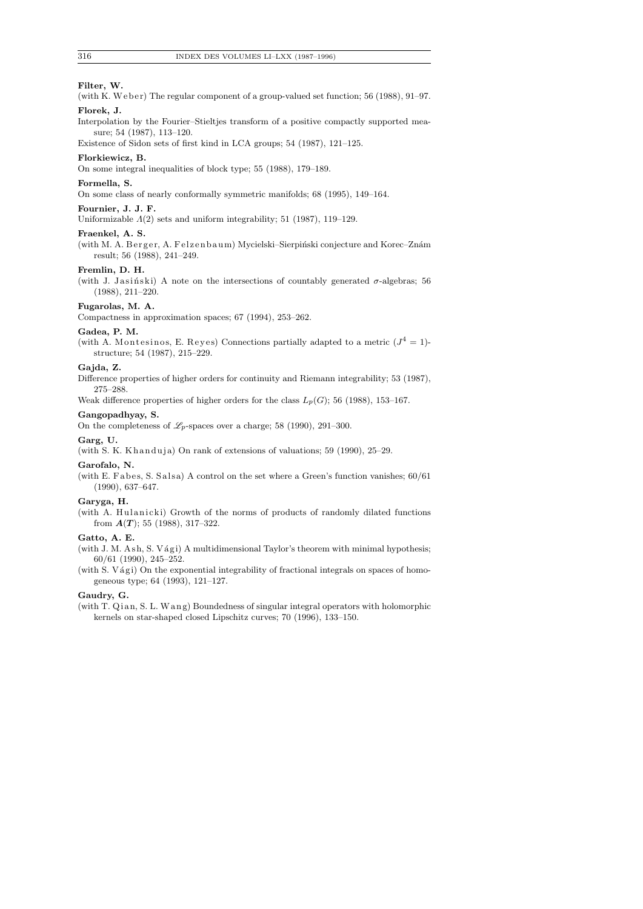## **Filter, W.**

- (with K. Weber) The regular component of a group-valued set function; 56 (1988), 91–97. **Florek, J.**
- Interpolation by the Fourier–Stieltjes transform of a positive compactly supported measure; 54 (1987), 113–120.

Existence of Sidon sets of first kind in LCA groups; 54 (1987), 121–125.

#### **Florkiewicz, B.**

On some integral inequalities of block type; 55 (1988), 179–189.

# **Formella, S.**

On some class of nearly conformally symmetric manifolds; 68 (1995), 149–164.

## **Fournier, J. J. F.**

Uniformizable *Λ*(2) sets and uniform integrability; 51 (1987), 119–129.

## **Fraenkel, A. S.**

(with M. A. Berger, A. Felzenbaum) Mycielski-Sierpiński conjecture and Korec-Znám result; 56 (1988), 241–249.

# **Fremlin, D. H.**

(with J. Jasiński) A note on the intersections of countably generated  $\sigma$ -algebras; 56 (1988), 211–220.

# **Fugarolas, M. A.**

Compactness in approximation spaces; 67 (1994), 253–262.

## **Gadea, P. M.**

(with A. Montesinos, E. Reyes) Connections partially adapted to a metric  $(J^4 = 1)$ structure; 54 (1987), 215–229.

#### **Gajda, Z.**

Difference properties of higher orders for continuity and Riemann integrability; 53 (1987),

275–288.

Weak difference properties of higher orders for the class  $L_p(G)$ ; 56 (1988), 153-167.

# **Gangopadhyay, S.**

On the completeness of  $\mathscr{L}_p$ -spaces over a charge; 58 (1990), 291–300.

## **Garg, U.**

(with S. K. Khanduja) On rank of extensions of valuations;  $59$  (1990),  $25-29$ .

#### **Garofalo, N.**

(with E. F a bes, S. S a ls a) A control on the set where a Green's function vanishes;  $60/61$ (1990), 637–647.

#### **Garyga, H.**

(with A. Hulanicki) Growth of the norms of products of randomly dilated functions from *A*(*T* ); 55 (1988), 317–322.

## **Gatto, A. E.**

(with J. M. Ash, S. Vági) A multidimensional Taylor's theorem with minimal hypothesis; 60/61 (1990), 245–252.

(with  $S. Vági$ ) On the exponential integrability of fractional integrals on spaces of homogeneous type; 64 (1993), 121–127.

#### **Gaudry, G.**

(with T. Qian, S. L. Wang) Boundedness of singular integral operators with holomorphic kernels on star-shaped closed Lipschitz curves; 70 (1996), 133–150.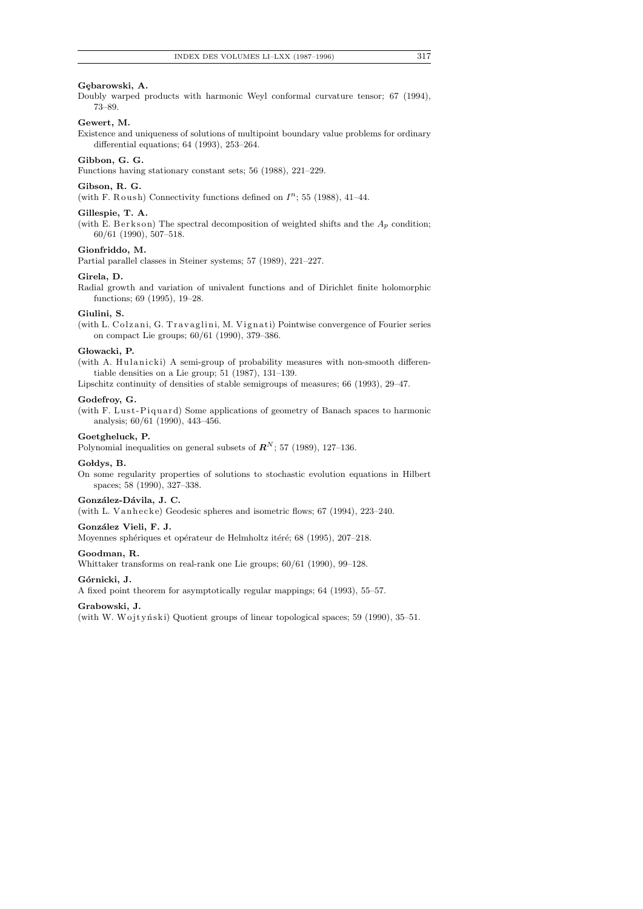## Gebarowski, A.

Doubly warped products with harmonic Weyl conformal curvature tensor; 67 (1994), 73–89.

# **Gewert, M.**

Existence and uniqueness of solutions of multipoint boundary value problems for ordinary differential equations; 64 (1993), 253–264.

## **Gibbon, G. G.**

Functions having stationary constant sets; 56 (1988), 221–229.

## **Gibson, R. G.**

(with F. Roush) Connectivity functions defined on  $I<sup>n</sup>$ ; 55 (1988), 41-44.

#### **Gillespie, T. A.**

(with E. Berkson) The spectral decomposition of weighted shifts and the  $A_p$  condition; 60/61 (1990), 507–518.

## **Gionfriddo, M.**

Partial parallel classes in Steiner systems; 57 (1989), 221–227.

## **Girela, D.**

Radial growth and variation of univalent functions and of Dirichlet finite holomorphic functions; 69 (1995), 19–28.

#### **Giulini, S.**

(with L. Colzani, G. Travaglini, M. Vignati) Pointwise convergence of Fourier series on compact Lie groups; 60/61 (1990), 379–386.

#### Głowacki, P.

(with A. Hulanicki) A semi-group of probability measures with non-smooth differentiable densities on a Lie group; 51 (1987), 131–139.

Lipschitz continuity of densities of stable semigroups of measures; 66 (1993), 29–47.

#### **Godefroy, G.**

(with F. Lust-Piquard) Some applications of geometry of Banach spaces to harmonic analysis; 60/61 (1990), 443–456.

## **Goetgheluck, P.**

Polynomial inequalities on general subsets of  $\mathbb{R}^N$ ; 57 (1989), 127–136.

#### Goldys, B.

On some regularity properties of solutions to stochastic evolution equations in Hilbert spaces; 58 (1990), 327–338.

## González-Dávila, J. C.

(with L. Vanhecke) Geodesic spheres and isometric flows;  $67$  (1994), 223-240.

#### González Vieli, F. J.

Moyennes sphériques et opérateur de Helmholtz itéré; 68 (1995), 207–218.

#### **Goodman, R.**

Whittaker transforms on real-rank one Lie groups; 60/61 (1990), 99–128.

#### **G´ornicki, J.**

A fixed point theorem for asymptotically regular mappings; 64 (1993), 55–57.

#### **Grabowski, J.**

(with W. Wojtyński) Quotient groups of linear topological spaces; 59 (1990), 35–51.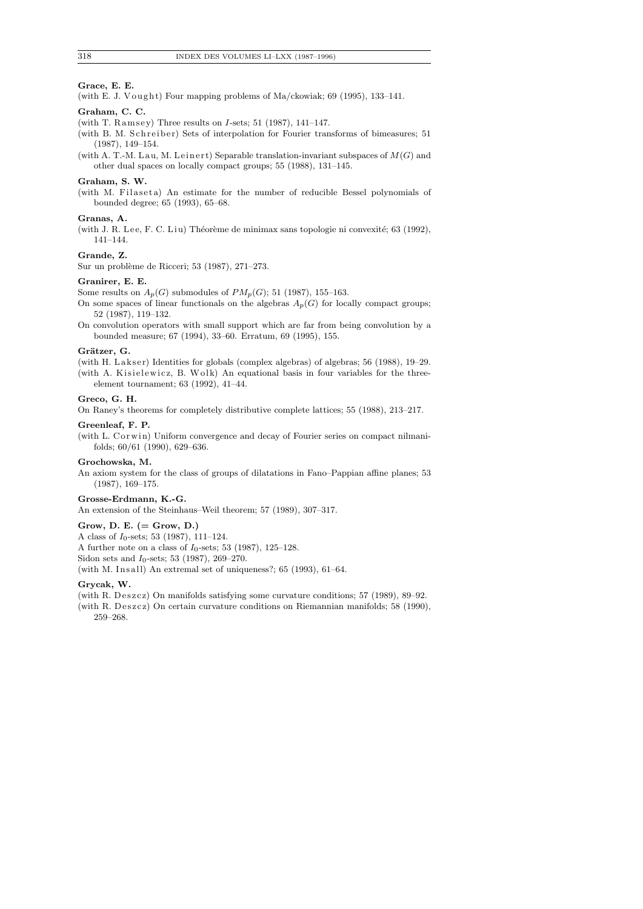## **Grace, E. E.**

(with E. J. Vought) Four mapping problems of Ma/ckowiak;  $69$  (1995), 133-141.

## **Graham, C. C.**

- (with T. Ramsey) Three results on *I*-sets; 51 (1987), 141-147.
- (with B. M. Schreiber) Sets of interpolation for Fourier transforms of bimeasures; 51 (1987), 149–154.
- (with A. T.-M. Lau, M. Leinert) Separable translation-invariant subspaces of  $M(G)$  and other dual spaces on locally compact groups; 55 (1988), 131–145.

## **Graham, S. W.**

(with M. Filaseta) An estimate for the number of reducible Bessel polynomials of bounded degree; 65 (1993), 65–68.

#### **Granas, A.**

(with J. R. Lee, F. C. Liu) Théorème de minimax sans topologie ni convexité; 63 (1992), 141–144.

## **Grande, Z.**

Sur un problème de Ricceri; 53 (1987), 271–273.

## **Granirer, E. E.**

Some results on  $A_p(G)$  submodules of  $PM_p(G)$ ; 51 (1987), 155–163.

On some spaces of linear functionals on the algebras  $A_p(G)$  for locally compact groups; 52 (1987), 119–132.

On convolution operators with small support which are far from being convolution by a bounded measure; 67 (1994), 33–60. Erratum, 69 (1995), 155.

#### Grätzer, G.

(with H. Lakser) Identities for globals (complex algebras) of algebras; 56 (1988), 19–29. (with A. Kisielewicz, B. Wolk) An equational basis in four variables for the threeelement tournament; 63 (1992), 41–44.

#### **Greco, G. H.**

On Raney's theorems for completely distributive complete lattices; 55 (1988), 213–217.

## **Greenleaf, F. P.**

(with L. Corwin) Uniform convergence and decay of Fourier series on compact nilmanifolds; 60/61 (1990), 629–636.

#### **Grochowska, M.**

An axiom system for the class of groups of dilatations in Fano–Pappian affine planes; 53 (1987), 169–175.

## **Grosse-Erdmann, K.-G.**

An extension of the Steinhaus–Weil theorem; 57 (1989), 307–317.

#### **Grow, D. E. (= Grow, D.)**

A class of *I*<sub>0</sub>-sets; 53 (1987), 111–124. A further note on a class of *I*0-sets; 53 (1987), 125–128. Sidon sets and *I*<sub>0</sub>-sets; 53 (1987), 269–270.

(with M. Insall) An extremal set of uniqueness?;  $65$  (1993),  $61-64$ .

## **Grycak, W.**

(with R. Deszcz) On manifolds satisfying some curvature conditions;  $57$  (1989), 89–92.

(with R. Deszcz) On certain curvature conditions on Riemannian manifolds; 58 (1990), 259–268.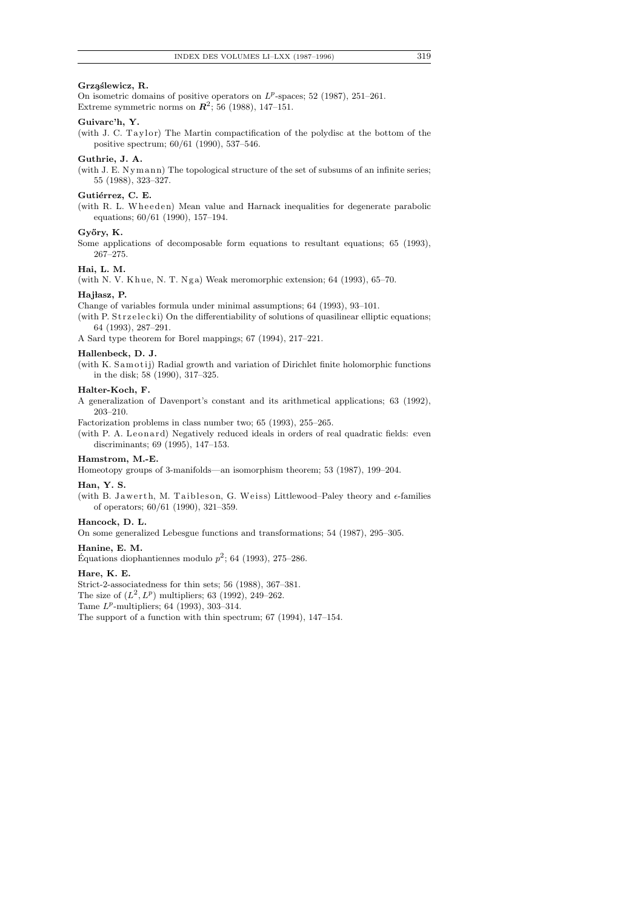## **Grz¸a´slewicz, R.**

On isometric domains of positive operators on  $L^p$ -spaces; 52 (1987), 251–261. Extreme symmetric norms on  $\mathbb{R}^2$ ; 56 (1988), 147-151.

## **Guivarc'h, Y.**

(with J. C. Taylor) The Martin compactification of the polydisc at the bottom of the positive spectrum; 60/61 (1990), 537–546.

## **Guthrie, J. A.**

(with J. E.  $Nymann$ ) The topological structure of the set of subsums of an infinite series; 55 (1988), 323–327.

#### Gutiérrez, C. E.

(with R. L. Wheeden) Mean value and Harnack inequalities for degenerate parabolic equations; 60/61 (1990), 157–194.

## Győry, K.

Some applications of decomposable form equations to resultant equations; 65 (1993), 267–275.

# **Hai, L. M.**

(with N. V. Khue, N. T. Nga) Weak meromorphic extension; 64 (1993), 65-70.

# **Haj lasz, P.**

Change of variables formula under minimal assumptions; 64 (1993), 93–101.

- (with P. Strzelecki) On the differentiability of solutions of quasilinear elliptic equations; 64 (1993), 287–291.
- A Sard type theorem for Borel mappings; 67 (1994), 217–221.

# **Hallenbeck, D. J.**

(with K.  $\mathtt{Samotij})$  Radial growth and variation of Dirichlet finite holomorphic functions in the disk; 58 (1990), 317–325.

## **Halter-Koch, F.**

A generalization of Davenport's constant and its arithmetical applications; 63 (1992), 203–210.

Factorization problems in class number two; 65 (1993), 255–265.

(with P. A. Leonard) Negatively reduced ideals in orders of real quadratic fields: even discriminants; 69 (1995), 147–153.

## **Hamstrom, M.-E.**

Homeotopy groups of 3-manifolds—an isomorphism theorem; 53 (1987), 199–204.

# **Han, Y. S.**

(with B. Jawerth, M. Taibleson, G. Weiss) Littlewood–Paley theory and  $\epsilon$ -families of operators; 60/61 (1990), 321–359.

#### **Hancock, D. L.**

On some generalized Lebesgue functions and transformations; 54 (1987), 295–305.

## **Hanine, E. M.**

Équations diophantiennes modulo  $p^2$ ; 64 (1993), 275–286.

## **Hare, K. E.**

Strict-2-associatedness for thin sets; 56 (1988), 367–381.

The size of  $(L^2, L^p)$  multipliers; 63 (1992), 249–262.

Tame  $L^p$ -multipliers; 64 (1993), 303-314.

The support of a function with thin spectrum; 67 (1994), 147–154.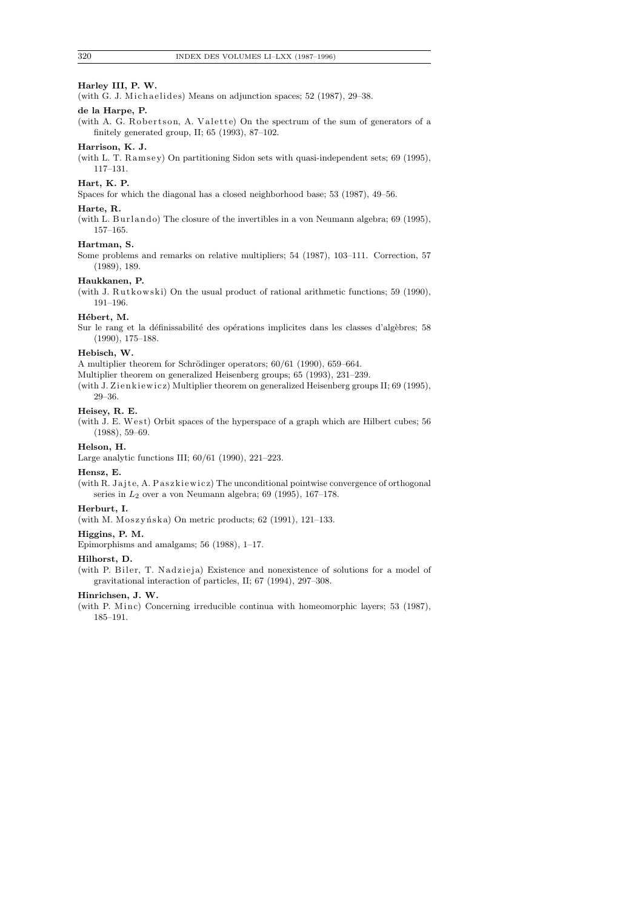## **Harley III, P. W.**

(with G. J. Michaelides) Means on adjunction spaces;  $52$  (1987),  $29-38$ .

## **de la Harpe, P.**

(with A. G. Robertson, A. Valette) On the spectrum of the sum of generators of a finitely generated group, II; 65 (1993), 87–102.

# **Harrison, K. J.**

(with L. T. Ramsey) On partitioning Sidon sets with quasi-independent sets; 69 (1995), 117–131.

## **Hart, K. P.**

Spaces for which the diagonal has a closed neighborhood base; 53 (1987), 49–56.

## **Harte, R.**

(with L. Burlando) The closure of the invertibles in a von Neumann algebra; 69 (1995), 157–165.

# **Hartman, S.**

Some problems and remarks on relative multipliers; 54 (1987), 103–111. Correction, 57 (1989), 189.

## **Haukkanen, P.**

(with J. Rutkowski) On the usual product of rational arithmetic functions; 59 (1990), 191–196.

#### Hébert, M.

Sur le rang et la définissabilité des opérations implicites dans les classes d'algèbres; 58 (1990), 175–188.

## **Hebisch, W.**

A multiplier theorem for Schrödinger operators;  $60/61$  (1990), 659–664.

Multiplier theorem on generalized Heisenberg groups; 65 (1993), 231–239.

(with J. Zienkiewicz) Multiplier theorem on generalized Heisenberg groups II; 69 (1995), 29–36.

## **Heisey, R. E.**

(with J. E. West) Orbit spaces of the hyperspace of a graph which are Hilbert cubes;  $56\,$ (1988), 59–69.

#### **Helson, H.**

Large analytic functions III; 60/61 (1990), 221–223.

#### **Hensz, E.**

(with R. Jajte, A. Paszkiewicz) The unconditional pointwise convergence of orthogonal series in *L*2 over a von Neumann algebra; 69 (1995), 167–178.

#### **Herburt, I.**

(with M. Moszyńska) On metric products;  $62$  (1991), 121-133.

#### **Higgins, P. M.**

Epimorphisms and amalgams; 56 (1988), 1–17.

#### **Hilhorst, D.**

(with P. Biler, T. Nadzieja) Existence and nonexistence of solutions for a model of gravitational interaction of particles, II; 67 (1994), 297–308.

#### **Hinrichsen, J. W.**

(with P. Minc) Concerning irreducible continua with homeomorphic layers; 53 (1987), 185–191.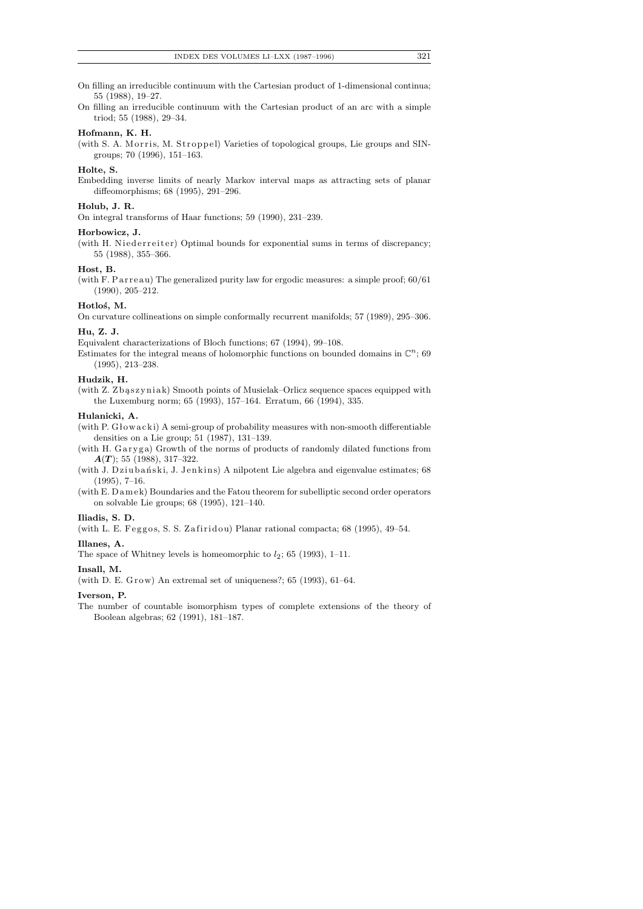- On filling an irreducible continuum with the Cartesian product of 1-dimensional continua; 55 (1988), 19–27.
- On filling an irreducible continuum with the Cartesian product of an arc with a simple triod; 55 (1988), 29–34.

#### **Hofmann, K. H.**

(with S. A. Morris, M. Stroppel) Varieties of topological groups, Lie groups and SINgroups; 70 (1996), 151–163.

## **Holte, S.**

Embedding inverse limits of nearly Markov interval maps as attracting sets of planar diffeomorphisms; 68 (1995), 291–296.

## **Holub, J. R.**

On integral transforms of Haar functions; 59 (1990), 231–239.

## **Horbowicz, J.**

(with H. Niederreiter) Optimal bounds for exponential sums in terms of discrepancy; 55 (1988), 355–366.

# **Host, B.**

(with F. Parreau) The generalized purity law for ergodic measures: a simple proof;  $60/61$ (1990), 205–212.

## **Hotlo´s, M.**

On curvature collineations on simple conformally recurrent manifolds; 57 (1989), 295–306.

## **Hu, Z. J.**

Equivalent characterizations of Bloch functions; 67 (1994), 99–108.

Estimates for the integral means of holomorphic functions on bounded domains in  $\mathbb{C}^n$ ; 69 (1995), 213–238.

## **Hudzik, H.**

(with Z. Zbaszyniak) Smooth points of Musielak–Orlicz sequence spaces equipped with the Luxemburg norm; 65 (1993), 157–164. Erratum, 66 (1994), 335.

#### **Hulanicki, A.**

(with P.  $G$ łow $acki$ ) A semi-group of probability measures with non-smooth differentiable densities on a Lie group; 51 (1987), 131–139.

(with H. Garyga) Growth of the norms of products of randomly dilated functions from *A*(*T* ); 55 (1988), 317–322.

(with J. Dziubański, J. Jenkins) A nilpotent Lie algebra and eigenvalue estimates; 68 (1995), 7–16.

(with E. Damek) Boundaries and the Fatou theorem for subelliptic second order operators on solvable Lie groups; 68 (1995), 121–140.

#### **Iliadis, S. D.**

(with L. E. Feggos, S. S. Zafiridou) Planar rational compacta; 68 (1995), 49-54.

#### **Illanes, A.**

The space of Whitney levels is homeomorphic to  $l_2$ ; 65 (1993), 1–11.

#### **Insall, M.**

(with D. E. Grow) An extremal set of uniqueness?;  $65$  (1993),  $61-64$ .

#### **Iverson, P.**

The number of countable isomorphism types of complete extensions of the theory of Boolean algebras; 62 (1991), 181–187.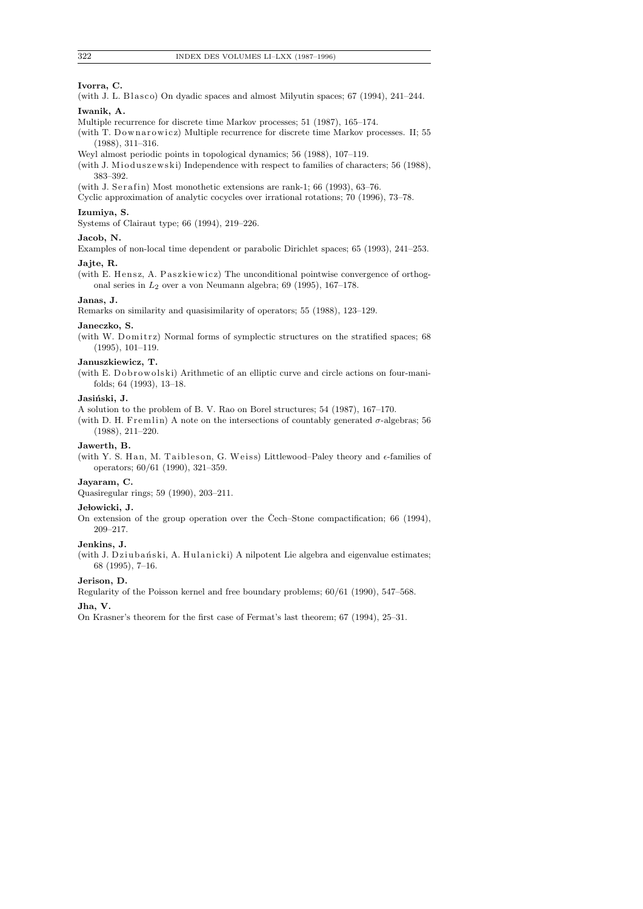## **Ivorra, C.**

(with J. L. Blasco) On dyadic spaces and almost Milyutin spaces;  $67$  (1994),  $241-244$ .

# **Iwanik, A.**

- Multiple recurrence for discrete time Markov processes; 51 (1987), 165–174.
- (with T. Downarowicz) Multiple recurrence for discrete time Markov processes. II; 55 (1988), 311–316.
- Weyl almost periodic points in topological dynamics; 56 (1988), 107–119.
- (with J. Mioduszewski) Independence with respect to families of characters; 56 (1988), 383–392.
- (with J. Serafin) Most monothetic extensions are rank-1; 66 (1993), 63-76.
- Cyclic approximation of analytic cocycles over irrational rotations; 70 (1996), 73–78.

# **Izumiya, S.**

Systems of Clairaut type; 66 (1994), 219–226.

## **Jacob, N.**

Examples of non-local time dependent or parabolic Dirichlet spaces; 65 (1993), 241–253.

# **Jajte, R.**

(with E. Hensz, A. Paszkiewicz) The unconditional pointwise convergence of orthogonal series in *L*2 over a von Neumann algebra; 69 (1995), 167–178.

## **Janas, J.**

Remarks on similarity and quasisimilarity of operators; 55 (1988), 123–129.

#### **Janeczko, S.**

(with W. Domitrz) Normal forms of symplectic structures on the stratified spaces; 68 (1995), 101–119.

## **Januszkiewicz, T.**

(with E. Dobrowolski) Arithmetic of an elliptic curve and circle actions on four-manifolds; 64 (1993), 13–18.

#### Jasiński, J.

A solution to the problem of B. V. Rao on Borel structures; 54 (1987), 167–170.

(with D. H. Fremlin) A note on the intersections of countably generated  $\sigma$ -algebras; 56 (1988), 211–220.

# **Jawerth, B.**

(with Y. S. Han, M. Taibleson, G. Weiss) Littlewood–Paley theory and  $\epsilon$ -families of operators; 60/61 (1990), 321–359.

## **Jayaram, C.**

Quasiregular rings; 59 (1990), 203–211.

#### **Je lowicki, J.**

On extension of the group operation over the Čech–Stone compactification; 66 (1994), 209–217.

## **Jenkins, J.**

(with J. Dziubański, A. Hulanicki) A nilpotent Lie algebra and eigenvalue estimates; 68 (1995), 7–16.

#### **Jerison, D.**

Regularity of the Poisson kernel and free boundary problems; 60/61 (1990), 547–568.

## **Jha, V.**

On Krasner's theorem for the first case of Fermat's last theorem; 67 (1994), 25–31.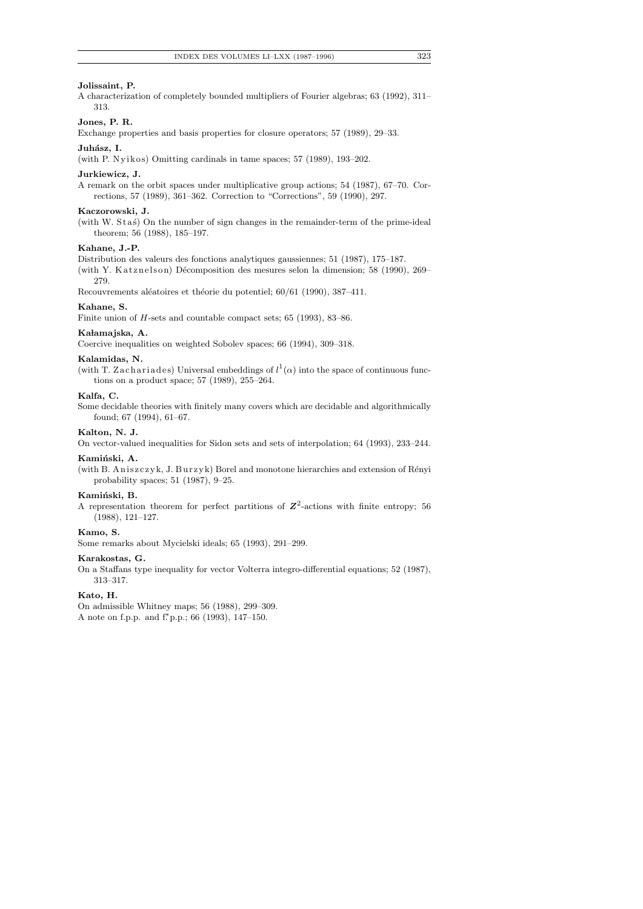#### **Jolissaint, P.**

A characterization of completely bounded multipliers of Fourier algebras; 63 (1992), 311– 313.

# **Jones, P. R.**

Exchange properties and basis properties for closure operators; 57 (1989), 29–33.

#### Juhász, I.

(with P. Nyikos) Omitting cardinals in tame spaces;  $57$  (1989), 193-202.

#### **Jurkiewicz, J.**

A remark on the orbit spaces under multiplicative group actions; 54 (1987), 67–70. Corrections, 57 (1989), 361–362. Correction to "Corrections", 59 (1990), 297.

#### **Kaczorowski, J.**

(with W. Stas) On the number of sign changes in the remainder-term of the prime-ideal theorem; 56 (1988), 185–197.

#### **Kahane, J.-P.**

Distribution des valeurs des fonctions analytiques gaussiennes; 51 (1987), 175–187.

(with Y. Katznelson) Décomposition des mesures selon la dimension; 58 (1990), 269– 279.

Recouvrements aléatoires et théorie du potentiel; 60/61 (1990), 387-411.

## **Kahane, S.**

Finite union of *H*-sets and countable compact sets; 65 (1993), 83–86.

## Kałamajska, A.

Coercive inequalities on weighted Sobolev spaces; 66 (1994), 309–318.

#### **Kalamidas, N.**

(with T. Zachariades) Universal embeddings of  $l^1(\alpha)$  into the space of continuous functions on a product space; 57 (1989), 255–264.

## **Kalfa, C.**

Some decidable theories with finitely many covers which are decidable and algorithmically found; 67 (1994), 61–67.

#### **Kalton, N. J.**

On vector-valued inequalities for Sidon sets and sets of interpolation; 64 (1993), 233–244.

#### Kamiński, A.

(with B. Aniszczyk, J. Burzyk) Borel and monotone hierarchies and extension of Rényi probability spaces; 51 (1987), 9–25.

#### Kamiński, B.

A representation theorem for perfect partitions of  $Z^2$ -actions with finite entropy; 56 (1988), 121–127.

#### **Kamo, S.**

Some remarks about Mycielski ideals; 65 (1993), 291–299.

## **Karakostas, G.**

On a Staffans type inequality for vector Volterra integro-differential equations; 52 (1987), 313–317.

#### **Kato, H.**

On admissible Whitney maps; 56 (1988), 299–309. A note on f.p.p. and f.*<sup>∗</sup>* p.p.; 66 (1993), 147–150.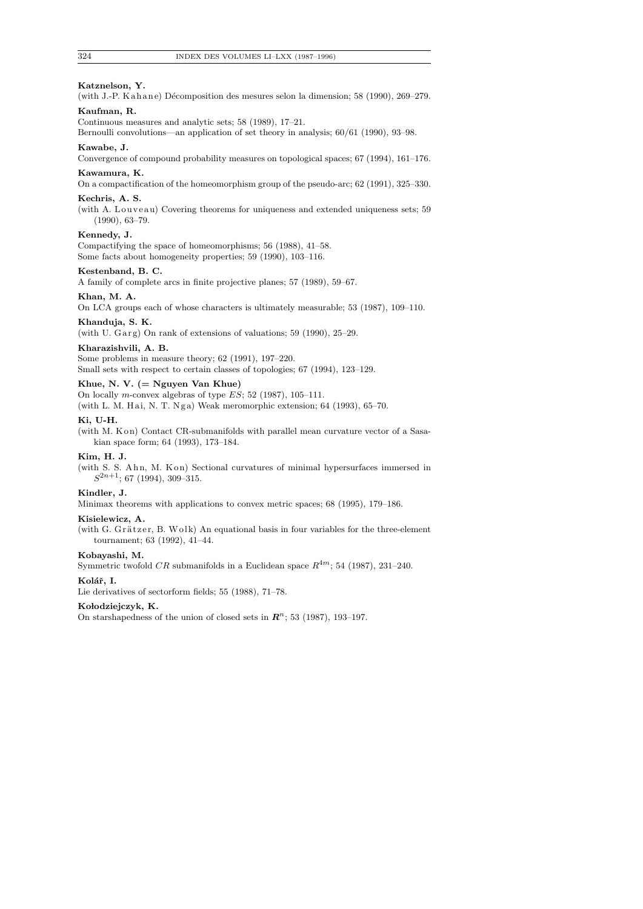## **Katznelson, Y.**

(with J.-P. Kahane) Décomposition des mesures selon la dimension; 58 (1990),  $269-279$ .

# **Kaufman, R.**

Continuous measures and analytic sets; 58 (1989), 17–21.

Bernoulli convolutions—an application of set theory in analysis; 60/61 (1990), 93–98.

## **Kawabe, J.**

Convergence of compound probability measures on topological spaces; 67 (1994), 161–176.

## **Kawamura, K.**

On a compactification of the homeomorphism group of the pseudo-arc; 62 (1991), 325–330.

# **Kechris, A. S.**

(with A. Louveau) Covering theorems for uniqueness and extended uniqueness sets; 59 (1990), 63–79.

#### **Kennedy, J.**

Compactifying the space of homeomorphisms; 56 (1988), 41–58. Some facts about homogeneity properties; 59 (1990), 103–116.

# **Kestenband, B. C.**

A family of complete arcs in finite projective planes; 57 (1989), 59–67.

#### **Khan, M. A.**

On LCA groups each of whose characters is ultimately measurable; 53 (1987), 109–110.

#### **Khanduja, S. K.**

(with U. Garg) On rank of extensions of valuations;  $59$  (1990),  $25-29$ .

#### **Kharazishvili, A. B.**

Some problems in measure theory; 62 (1991), 197–220.

Small sets with respect to certain classes of topologies; 67 (1994), 123–129.

# **Khue, N. V. (= Nguyen Van Khue)**

On locally *m*-convex algebras of type *ES*; 52 (1987), 105–111.

(with L. M. Hai, N. T. Nga) Weak meromorphic extension;  $64$  (1993),  $65-70$ .

## **Ki, U-H.**

(with M. K on) Contact CR-submanifolds with parallel mean curvature vector of a Sasakian space form; 64 (1993), 173–184.

## **Kim, H. J.**

(with S. S. Ahn, M. Kon) Sectional curvatures of minimal hypersurfaces immersed in *S* <sup>2</sup>*n*+1; 67 (1994), 309–315.

#### **Kindler, J.**

Minimax theorems with applications to convex metric spaces; 68 (1995), 179–186.

#### **Kisielewicz, A.**

(with G. Grätzer, B. Wolk) An equational basis in four variables for the three-element tournament; 63 (1992), 41–44.

#### **Kobayashi, M.**

Symmetric twofold  $CR$  submanifolds in a Euclidean space  $R^{4m}$ ; 54 (1987), 231–240.

#### Kolář, I.

Lie derivatives of sectorform fields; 55 (1988), 71–78.

#### **Ko lodziejczyk, K.**

On starshapedness of the union of closed sets in  $\mathbb{R}^n$ ; 53 (1987), 193-197.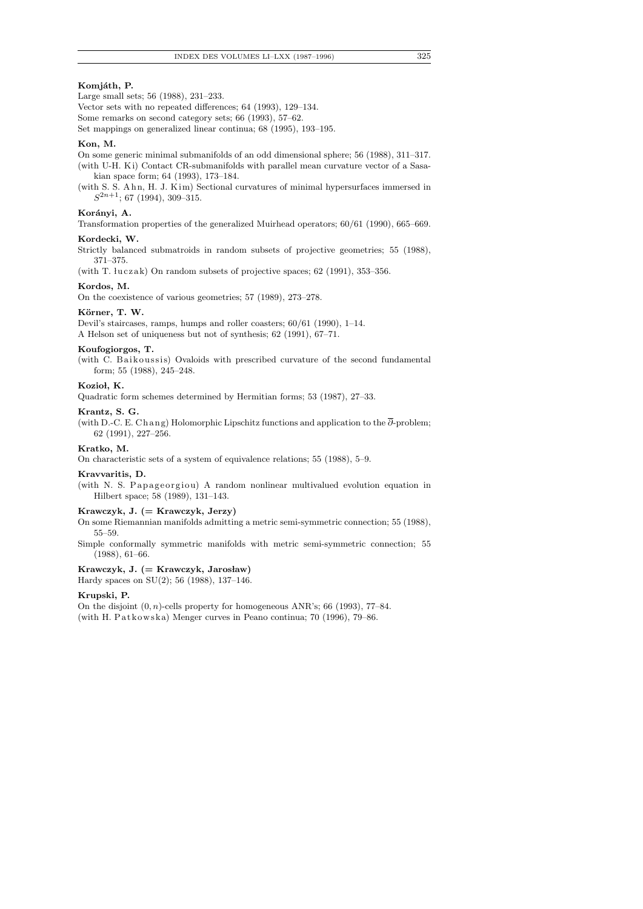# Komjáth, P.

Large small sets; 56 (1988), 231–233.

Vector sets with no repeated differences; 64 (1993), 129–134.

Some remarks on second category sets; 66 (1993), 57–62.

Set mappings on generalized linear continua; 68 (1995), 193–195.

## **Kon, M.**

On some generic minimal submanifolds of an odd dimensional sphere; 56 (1988), 311–317.

(with U-H. Ki) Contact CR-submanifolds with parallel mean curvature vector of a Sasakian space form; 64 (1993), 173–184.

(with S. S. Ahn, H. J. Kim) Sectional curvatures of minimal hypersurfaces immersed in *S* <sup>2</sup>*n*+1; 67 (1994), 309–315.

## Korányi, A.

Transformation properties of the generalized Muirhead operators; 60/61 (1990), 665–669. **Kordecki, W.**

Strictly balanced submatroids in random subsets of projective geometries; 55 (1988), 371–375.

(with T.  $luczak$ ) On random subsets of projective spaces; 62 (1991), 353-356.

#### **Kordos, M.**

On the coexistence of various geometries; 57 (1989), 273–278.

#### Körner, T. W.

Devil's staircases, ramps, humps and roller coasters; 60/61 (1990), 1–14. A Helson set of uniqueness but not of synthesis; 62 (1991), 67–71.

# **Koufogiorgos, T.**

(with C. Baikoussis) Ovaloids with prescribed curvature of the second fundamental form; 55 (1988), 245–248.

# Kozioł, K.

Quadratic form schemes determined by Hermitian forms; 53 (1987), 27–33.

#### **Krantz, S. G.**

(with D.-C. E. Chang) Holomorphic Lipschitz functions and application to the  $\overline{\partial}$ -problem; 62 (1991), 227–256.

#### **Kratko, M.**

On characteristic sets of a system of equivalence relations; 55 (1988), 5–9.

#### **Kravvaritis, D.**

(with N. S. Papageorgiou) A random nonlinear multivalued evolution equation in Hilbert space; 58 (1989), 131–143.

# **Krawczyk, J. (= Krawczyk, Jerzy)**

On some Riemannian manifolds admitting a metric semi-symmetric connection; 55 (1988), 55–59.

Simple conformally symmetric manifolds with metric semi-symmetric connection; 55 (1988), 61–66.

# Krawczyk, J. (= Krawczyk, Jarosław)

Hardy spaces on SU(2); 56 (1988), 137–146.

#### **Krupski, P.**

On the disjoint (0*, n*)-cells property for homogeneous ANR's; 66 (1993), 77–84. (with H. Patkowska) Menger curves in Peano continua; 70 (1996), 79–86.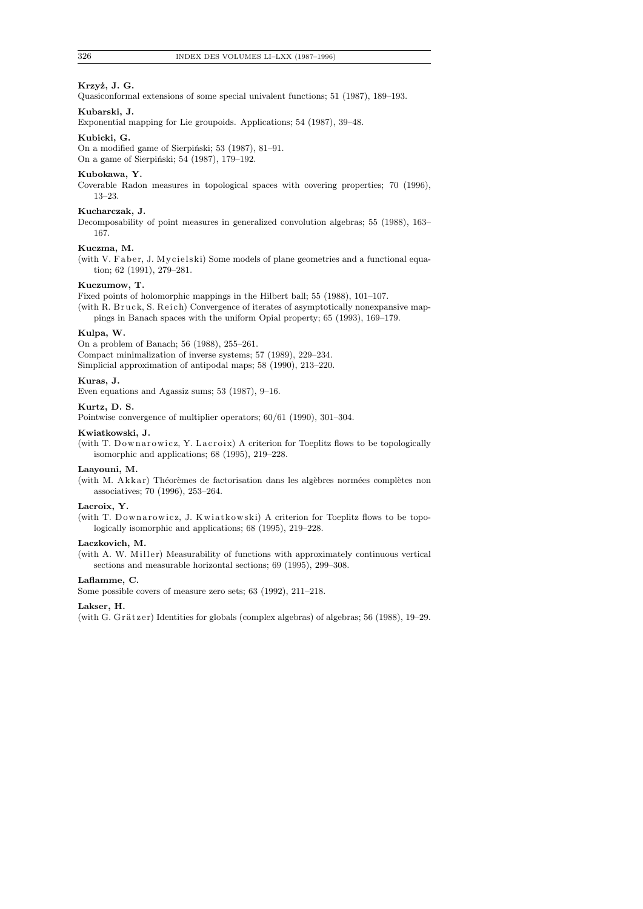# Krzyż, J. G.

Quasiconformal extensions of some special univalent functions; 51 (1987), 189–193.

# **Kubarski, J.**

Exponential mapping for Lie groupoids. Applications; 54 (1987), 39–48.

# **Kubicki, G.**

On a modified game of Sierpiński; 53 (1987), 81-91.

On a game of Sierpiński; 54 (1987), 179-192.

#### **Kubokawa, Y.**

Coverable Radon measures in topological spaces with covering properties; 70 (1996), 13–23.

## **Kucharczak, J.**

Decomposability of point measures in generalized convolution algebras; 55 (1988), 163– 167.

## **Kuczma, M.**

(with V. Faber, J. Mycielski) Some models of plane geometries and a functional equation; 62 (1991), 279–281.

## **Kuczumow, T.**

Fixed points of holomorphic mappings in the Hilbert ball; 55 (1988), 101–107.

(with R. Bruck, S. Reich) Convergence of iterates of asymptotically nonexpansive mappings in Banach spaces with the uniform Opial property; 65 (1993), 169–179.

## **Kulpa, W.**

On a problem of Banach; 56 (1988), 255–261.

Compact minimalization of inverse systems; 57 (1989), 229–234.

Simplicial approximation of antipodal maps; 58 (1990), 213–220.

## **Kuras, J.**

Even equations and Agassiz sums; 53 (1987), 9–16.

# **Kurtz, D. S.**

Pointwise convergence of multiplier operators; 60/61 (1990), 301–304.

#### **Kwiatkowski, J.**

(with T. Downarowicz, Y. Lacroix) A criterion for Toeplitz flows to be topologically isomorphic and applications; 68 (1995), 219–228.

## **Laayouni, M.**

(with M. Akkar) Théorèmes de factorisation dans les algèbres normées complètes non associatives; 70 (1996), 253–264.

## **Lacroix, Y.**

(with T. Downarowicz, J. Kwiatkowski) A criterion for Toeplitz flows to be topologically isomorphic and applications; 68 (1995), 219–228.

## **Laczkovich, M.**

(with A. W. Miller) Measurability of functions with approximately continuous vertical sections and measurable horizontal sections; 69 (1995), 299–308.

#### **Laflamme, C.**

Some possible covers of measure zero sets; 63 (1992), 211–218.

## **Lakser, H.**

(with G. Grätzer) Identities for globals (complex algebras) of algebras; 56 (1988), 19–29.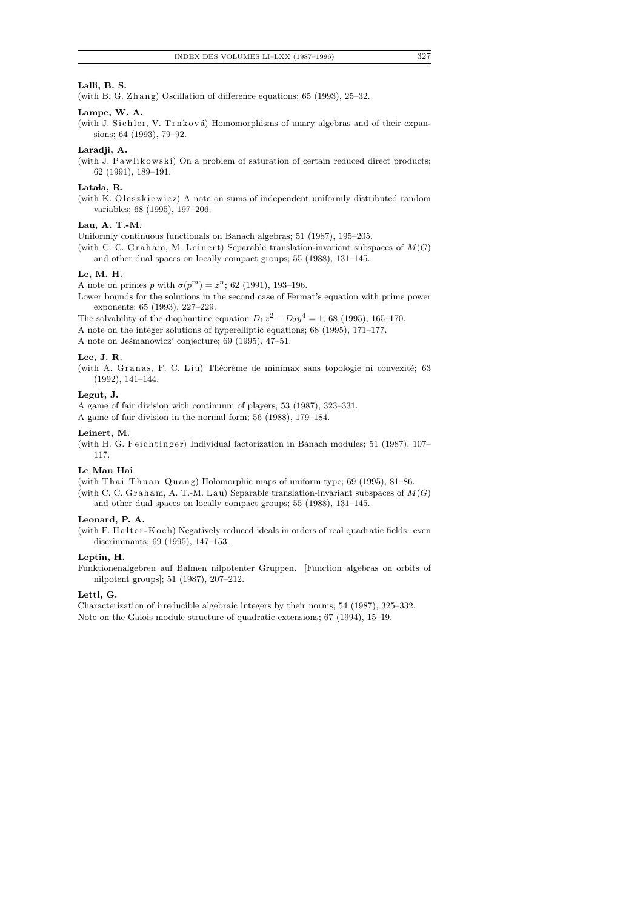## **Lalli, B. S.**

(with B. G. Zhang) Oscillation of difference equations;  $65$  (1993),  $25-32$ .

## **Lampe, W. A.**

(with J. Sichler, V. Trnková) Homomorphisms of unary algebras and of their expansions; 64 (1993), 79–92.

## **Laradji, A.**

(with J. Pawlikowski) On a problem of saturation of certain reduced direct products; 62 (1991), 189–191.

## Latała, R.

(with K. Oleszkiewicz) A note on sums of independent uniformly distributed random variables; 68 (1995), 197–206.

## **Lau, A. T.-M.**

Uniformly continuous functionals on Banach algebras; 51 (1987), 195–205.

(with C. C. Graham, M. Leinert) Separable translation-invariant subspaces of  $M(G)$ and other dual spaces on locally compact groups; 55 (1988), 131–145.

## **Le, M. H.**

A note on primes *p* with  $\sigma(p^m) = z^n$ ; 62 (1991), 193-196.

Lower bounds for the solutions in the second case of Fermat's equation with prime power exponents; 65 (1993), 227–229.

The solvability of the diophantine equation  $D_1x^2 - D_2y^4 = 1$ ; 68 (1995), 165–170. A note on the integer solutions of hyperelliptic equations; 68 (1995), 171–177.

A note on Jesmanowicz' conjecture; 69 (1995), 47-51.

#### **Lee, J. R.**

(with A. Granas, F. C. Liu) Théorème de minimax sans topologie ni convexité; 63 (1992), 141–144.

## **Legut, J.**

A game of fair division with continuum of players; 53 (1987), 323–331.

A game of fair division in the normal form; 56 (1988), 179–184.

## **Leinert, M.**

(with H. G. Feichtinger) Individual factorization in Banach modules; 51 (1987), 107– 117.

## **Le Mau Hai**

(with Thai Thuan Quang) Holomorphic maps of uniform type;  $69$  (1995),  $81-86$ . (with C. C. Graham, A. T.-M. Lau) Separable translation-invariant subspaces of  $M(G)$ and other dual spaces on locally compact groups; 55 (1988), 131–145.

#### **Leonard, P. A.**

(with F. Halter-Koch) Negatively reduced ideals in orders of real quadratic fields: even discriminants; 69 (1995), 147–153.

## **Leptin, H.**

Funktionenalgebren auf Bahnen nilpotenter Gruppen. [Function algebras on orbits of nilpotent groups]; 51 (1987), 207–212.

#### **Lettl, G.**

Characterization of irreducible algebraic integers by their norms; 54 (1987), 325–332. Note on the Galois module structure of quadratic extensions; 67 (1994), 15–19.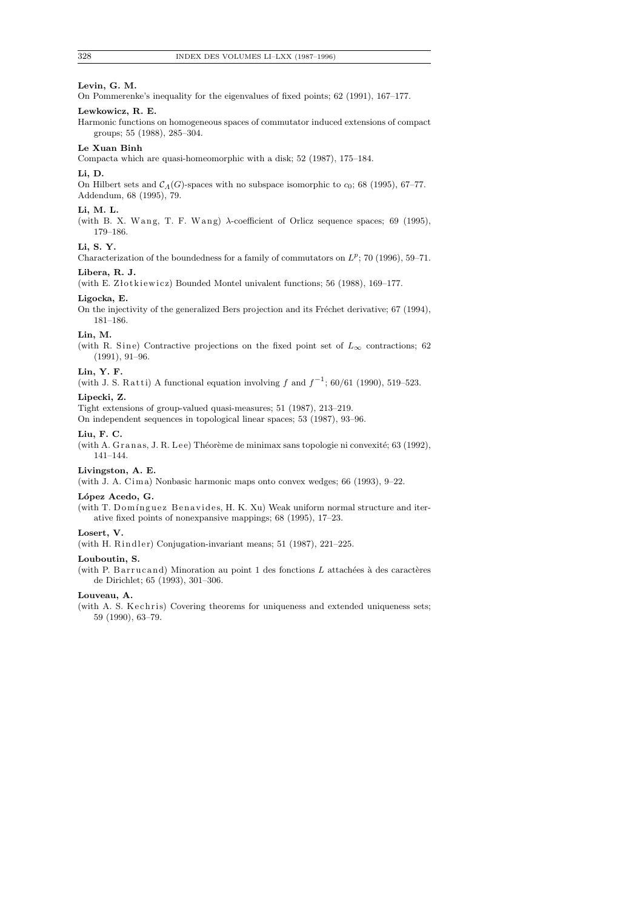# **Levin, G. M.**

On Pommerenke's inequality for the eigenvalues of fixed points; 62 (1991), 167–177.

## **Lewkowicz, R. E.**

Harmonic functions on homogeneous spaces of commutator induced extensions of compact groups; 55 (1988), 285–304.

#### **Le Xuan Binh**

Compacta which are quasi-homeomorphic with a disk; 52 (1987), 175–184.

#### **Li, D.**

On Hilbert sets and  $C_A(G)$ -spaces with no subspace isomorphic to  $c_0$ ; 68 (1995), 67–77. Addendum, 68 (1995), 79.

#### **Li, M. L.**

(with B. X. Wang, T. F. Wang)  $\lambda$ -coefficient of Orlicz sequence spaces; 69 (1995), 179–186.

### **Li, S. Y.**

Characterization of the boundedness for a family of commutators on  $L^p$ ; 70 (1996), 59–71.

# **Libera, R. J.**

(with E. Złotkiewicz) Bounded Montel univalent functions; 56 (1988),  $169-177$ .

#### **Ligocka, E.**

On the injectivity of the generalized Bers projection and its Fréchet derivative; 67 (1994), 181–186.

# **Lin, M.**

(with R. Sine) Contractive projections on the fixed point set of  $L_{\infty}$  contractions; 62 (1991), 91–96.

#### **Lin, Y. F.**

(with J. S. Ratti) A functional equation involving *f* and  $f^{-1}$ ; 60/61 (1990), 519–523.

## **Lipecki, Z.**

Tight extensions of group-valued quasi-measures; 51 (1987), 213–219.

On independent sequences in topological linear spaces; 53 (1987), 93–96.

## **Liu, F. C.**

(with A. Granas, J. R. Lee) Théorème de minimax sans topologie ni convexité; 63 (1992), 141–144.

## **Livingston, A. E.**

(with J. A. Cim a) Nonbasic harmonic maps onto convex wedges; 66 (1993), 9–22.

#### **L´opez Acedo, G.**

(with T. Domínguez Benavides, H. K. Xu) Weak uniform normal structure and iterative fixed points of nonexpansive mappings; 68 (1995), 17–23.

## **Losert, V.**

(with H. Rindler) Conjugation-invariant means; 51 (1987), 221-225.

#### **Louboutin, S.**

(with P. B arrucand) Minoration au point 1 des fonctions *L* attachées à des caractères de Dirichlet; 65 (1993), 301–306.

#### **Louveau, A.**

(with A. S. Kechris) Covering theorems for uniqueness and extended uniqueness sets; 59 (1990), 63–79.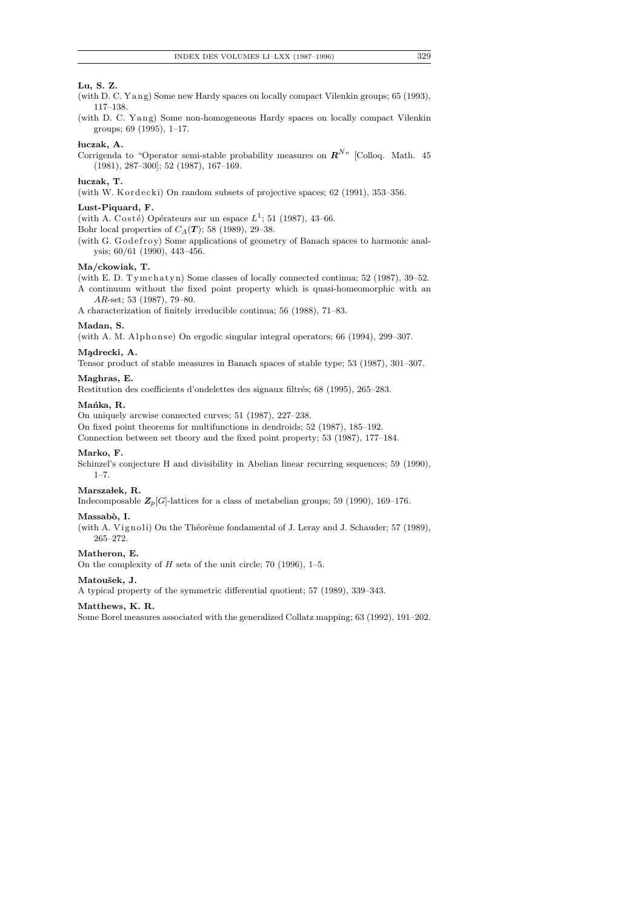# **Lu, S. Z.**

- (with D. C. Y ang) Some new Hardy spaces on locally compact Vilenkin groups;  $65$  (1993), 117–138.
- (with D. C. Yang) Some non-homogeneous Hardy spaces on locally compact Vilenkin groups; 69 (1995), 1–17.

## **luczak, A.**

Corrigenda to "Operator semi-stable probability measures on  $\mathbb{R}^{N}$ " [Colloq. Math. 45] (1981), 287–300]; 52 (1987), 167–169.

## **luczak, T.**

(with W. Kordecki) On random subsets of projective spaces;  $62$  (1991),  $353-356$ .

## **Lust-Piquard, F.**

(with A. Costé) Opérateurs sur un espace  $L^1$ ; 51 (1987), 43–66.

Bohr local properties of *CΛ*(*T* ); 58 (1989), 29–38.

(with G. Godefroy) Some applications of geometry of Banach spaces to harmonic analysis; 60/61 (1990), 443–456.

## **Ma/ckowiak, T.**

(with E. D. Tymchatyn) Some classes of locally connected continua;  $52$  (1987),  $39-52$ . A continuum without the fixed point property which is quasi-homeomorphic with an *AR*-set; 53 (1987), 79–80.

A characterization of finitely irreducible continua; 56 (1988), 71–83.

#### **Madan, S.**

(with A. M. Alphonse) On ergodic singular integral operators;  $66$  (1994), 299-307.

## **M¸adrecki, A.**

Tensor product of stable measures in Banach spaces of stable type; 53 (1987), 301–307.

#### **Maghras, E.**

Restitution des coefficients d'ondelettes des signaux filtrés; 68 (1995), 265-283.

#### Mańka, R.

On uniquely arcwise connected curves; 51 (1987), 227–238. On fixed point theorems for multifunctions in dendroids; 52 (1987), 185–192. Connection between set theory and the fixed point property; 53 (1987), 177–184.

#### **Marko, F.**

Schinzel's conjecture H and divisibility in Abelian linear recurring sequences; 59 (1990), 1–7.

#### **Marsza lek, R.**

Indecomposable  $\mathbb{Z}_p[G]$ -lattices for a class of metabelian groups; 59 (1990), 169–176.

#### Massabò, I.

(with A. Vignoli) On the Théorème fondamental of J. Leray and J. Schauder; 57 (1989), 265–272.

#### **Matheron, E.**

On the complexity of *H* sets of the unit circle; 70 (1996), 1–5.

#### **Matouˇsek, J.**

A typical property of the symmetric differential quotient; 57 (1989), 339–343.

## **Matthews, K. R.**

Some Borel measures associated with the generalized Collatz mapping; 63 (1992), 191–202.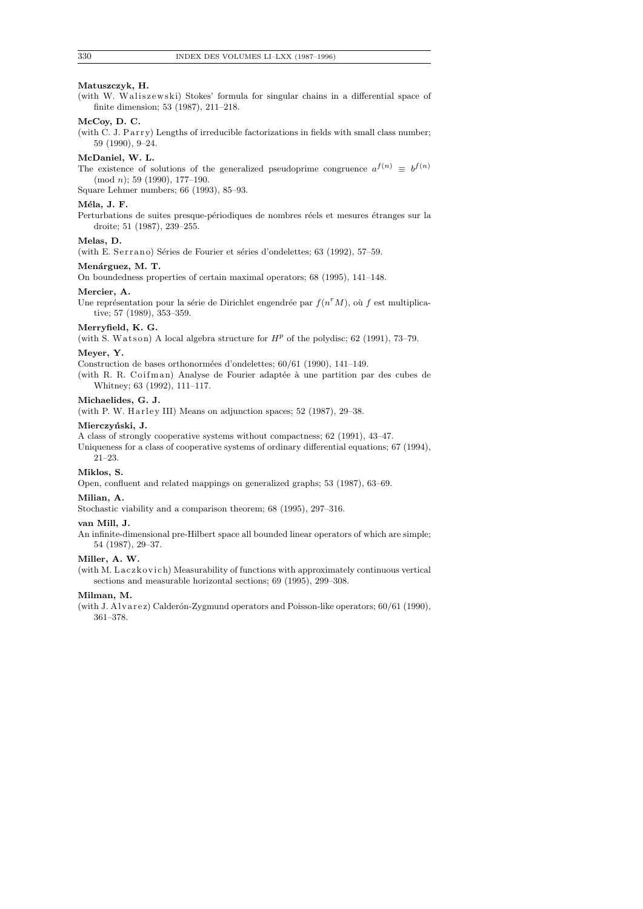#### **Matuszczyk, H.**

(with W. Waliszewski) Stokes' formula for singular chains in a differential space of finite dimension; 53 (1987), 211–218.

# **McCoy, D. C.**

(with C. J. Parry) Lengths of irreducible factorizations in fields with small class number; 59 (1990), 9–24.

## **McDaniel, W. L.**

The existence of solutions of the generalized pseudoprime congruence  $a^{f(n)} \equiv b^{f(n)}$ (mod *n*); 59 (1990), 177–190.

Square Lehmer numbers; 66 (1993), 85–93.

#### **M´ela, J. F.**

Perturbations de suites presque-périodiques de nombres réels et mesures étranges sur la droite; 51 (1987), 239–255.

## **Melas, D.**

(with E. Serrano) Séries de Fourier et séries d'ondelettes; 63 (1992), 57-59.

## Menárguez, M. T.

On boundedness properties of certain maximal operators; 68 (1995), 141–148.

#### **Mercier, A.**

Une représentation pour la série de Dirichlet engendrée par  $f(n^r M)$ , où  $f$  est multiplicative; 57 (1989), 353–359.

# **Merryfield, K. G.**

(with S. Watson) A local algebra structure for  $H^p$  of the polydisc; 62 (1991), 73-79.

## **Meyer, Y.**

Construction de bases orthonormées d'ondelettes;  $60/61$  (1990), 141–149.

(with R. R. Coifman) Analyse de Fourier adaptée à une partition par des cubes de Whitney; 63 (1992), 111–117.

## **Michaelides, G. J.**

(with P. W. Harley III) Means on adjunction spaces;  $52$  (1987),  $29-38$ .

## **Mierczy´nski, J.**

A class of strongly cooperative systems without compactness; 62 (1991), 43–47.

Uniqueness for a class of cooperative systems of ordinary differential equations; 67 (1994), 21–23.

#### **Miklos, S.**

Open, confluent and related mappings on generalized graphs; 53 (1987), 63–69.

## **Milian, A.**

Stochastic viability and a comparison theorem; 68 (1995), 297–316.

#### **van Mill, J.**

An infinite-dimensional pre-Hilbert space all bounded linear operators of which are simple; 54 (1987), 29–37.

# **Miller, A. W.**

(with M. Laczkovich) Measurability of functions with approximately continuous vertical sections and measurable horizontal sections; 69 (1995), 299–308.

## **Milman, M.**

(with J. Alvarez) Calderón-Zygmund operators and Poisson-like operators;  $60/61$  (1990), 361–378.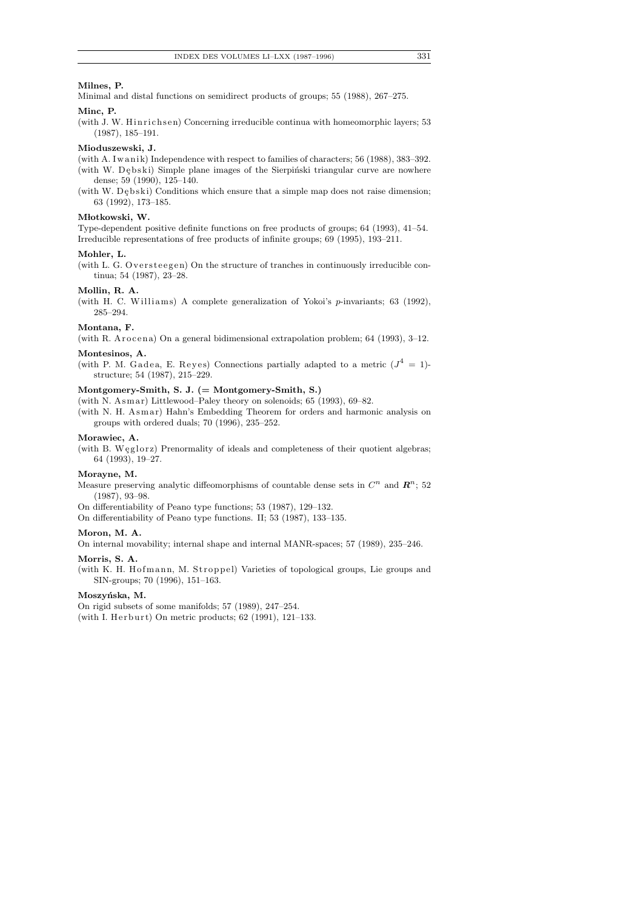## **Milnes, P.**

Minimal and distal functions on semidirect products of groups; 55 (1988), 267–275.

## **Minc, P.**

(with J. W. Hinrichsen) Concerning irreducible continua with homeomorphic layers;  $53$ (1987), 185–191.

#### **Mioduszewski, J.**

(with A. Iwanik) Independence with respect to families of characters; 56 (1988), 383–392. (with W. Debski) Simple plane images of the Sierpinski triangular curve are nowhere dense; 59 (1990), 125–140.

(with W. D $\epsilon$ bski) Conditions which ensure that a simple map does not raise dimension; 63 (1992), 173–185.

#### Młotkowski, W.

Type-dependent positive definite functions on free products of groups; 64 (1993), 41–54. Irreducible representations of free products of infinite groups; 69 (1995), 193–211.

#### **Mohler, L.**

(with L. G. Oversteegen) On the structure of tranches in continuously irreducible continua; 54 (1987), 23–28.

## **Mollin, R. A.**

(with H. C. Williams) A complete generalization of Yokoi's *p*-invariants; 63 (1992), 285–294.

## **Montana, F.**

(with R. Arocena) On a general bidimensional extrapolation problem;  $64$  (1993),  $3-12$ . **Montesinos, A.**

(with P. M. Gadea, E. Reyes) Connections partially adapted to a metric  $(J^4 = 1)$ structure; 54 (1987), 215–229.

## **Montgomery-Smith, S. J. (= Montgomery-Smith, S.)**

(with N. Asmar) Littlewood–Paley theory on solenoids; 65 (1993), 69–82.

(with N. H. Asmar) Hahn's Embedding Theorem for orders and harmonic analysis on groups with ordered duals; 70 (1996), 235–252.

## **Morawiec, A.**

(with B. Weglorz) Prenormality of ideals and completeness of their quotient algebras; 64 (1993), 19–27.

#### **Morayne, M.**

Measure preserving analytic diffeomorphisms of countable dense sets in  $C<sup>n</sup>$  and  $\mathbb{R}^{n}$ ; 52 (1987), 93–98.

On differentiability of Peano type functions; 53 (1987), 129–132.

On differentiability of Peano type functions. II; 53 (1987), 133–135.

#### **Moron, M. A.**

On internal movability; internal shape and internal MANR-spaces; 57 (1989), 235–246.

## **Morris, S. A.**

(with K. H. Hofmann, M. Stroppel) Varieties of topological groups, Lie groups and SIN-groups; 70 (1996), 151–163.

#### Moszyńska, M.

On rigid subsets of some manifolds; 57 (1989), 247–254. (with I. Herburt) On metric products; 62 (1991), 121-133.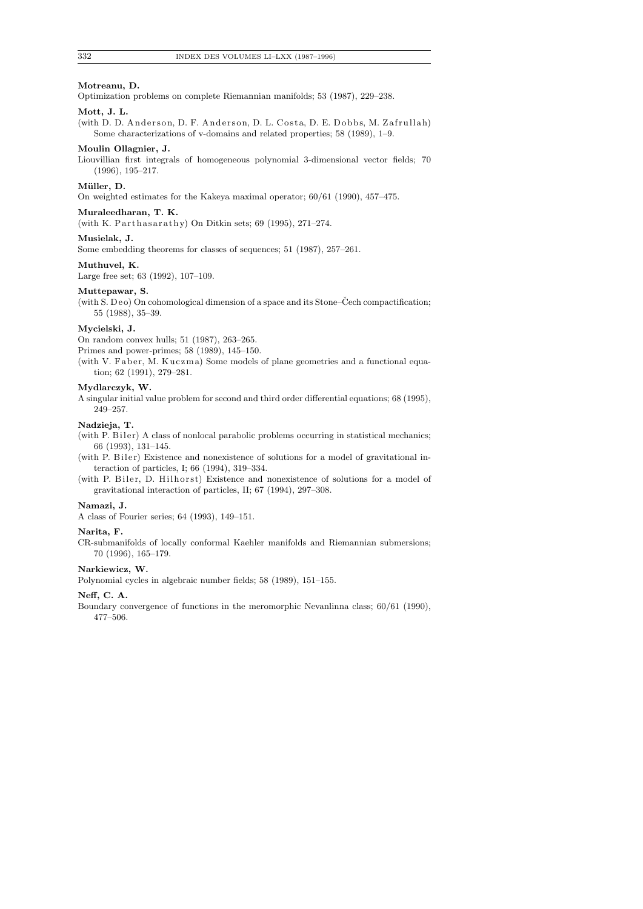## **Motreanu, D.**

Optimization problems on complete Riemannian manifolds; 53 (1987), 229–238.

## **Mott, J. L.**

(with D. D. Anderson, D. F. Anderson, D. L. Costa, D. E. Dobbs, M. Zafrullah) Some characterizations of v-domains and related properties; 58 (1989), 1–9.

#### **Moulin Ollagnier, J.**

Liouvillian first integrals of homogeneous polynomial 3-dimensional vector fields; 70 (1996), 195–217.

#### **M¨uller, D.**

On weighted estimates for the Kakeya maximal operator; 60/61 (1990), 457–475.

# **Muraleedharan, T. K.**

(with K. Parthasarathy) On Ditkin sets;  $69$  (1995), 271-274.

## **Musielak, J.**

Some embedding theorems for classes of sequences; 51 (1987), 257–261.

#### **Muthuvel, K.**

Large free set; 63 (1992), 107–109.

#### **Muttepawar, S.**

(with S. Deo) On cohomological dimension of a space and its Stone–Čech compactification; 55 (1988), 35–39.

## **Mycielski, J.**

On random convex hulls; 51 (1987), 263–265.

Primes and power-primes; 58 (1989), 145–150.

(with V. Faber, M. Kuczma) Some models of plane geometries and a functional equation; 62 (1991), 279–281.

## **Mydlarczyk, W.**

A singular initial value problem for second and third order differential equations; 68 (1995), 249–257.

## **Nadzieja, T.**

(with P. Biler) A class of nonlocal parabolic problems occurring in statistical mechanics; 66 (1993), 131–145.

(with P. Biler) Existence and nonexistence of solutions for a model of gravitational interaction of particles, I; 66 (1994), 319–334.

(with P. Biler, D. Hilhorst) Existence and nonexistence of solutions for a model of gravitational interaction of particles, II; 67 (1994), 297–308.

## **Namazi, J.**

A class of Fourier series; 64 (1993), 149–151.

#### **Narita, F.**

CR-submanifolds of locally conformal Kaehler manifolds and Riemannian submersions; 70 (1996), 165–179.

# **Narkiewicz, W.**

Polynomial cycles in algebraic number fields; 58 (1989), 151–155.

## **Neff, C. A.**

Boundary convergence of functions in the meromorphic Nevanlinna class; 60/61 (1990), 477–506.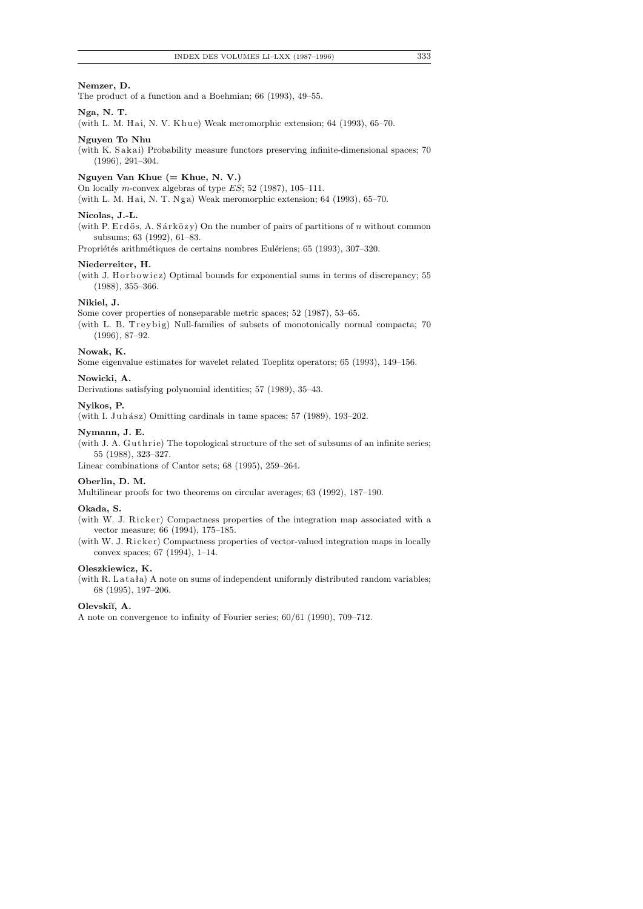## **Nemzer, D.**

The product of a function and a Boehmian; 66 (1993), 49–55.

# **Nga, N. T.**

(with L. M. Hai, N. V. Khue) Weak meromorphic extension; 64 (1993), 65-70.

#### **Nguyen To Nhu**

(with K. Sakai) Probability measure functors preserving infinite-dimensional spaces; 70 (1996), 291–304.

#### **Nguyen Van Khue (= Khue, N. V.)**

On locally *m*-convex algebras of type *ES*; 52 (1987), 105–111.

(with L. M. Hai, N. T. Nga) Weak meromorphic extension; 64 (1993), 65-70.

## **Nicolas, J.-L.**

(with P. Erdős, A. Sárközy) On the number of pairs of partitions of  $n$  without common subsums; 63 (1992), 61–83.

Propriétés arithmétiques de certains nombres Eulériens; 65 (1993), 307–320.

#### **Niederreiter, H.**

(with J. H or bowicz) Optimal bounds for exponential sums in terms of discrepancy;  $55$ (1988), 355–366.

## **Nikiel, J.**

Some cover properties of nonseparable metric spaces; 52 (1987), 53–65.

(with L. B. Treybig) Null-families of subsets of monotonically normal compacta; 70 (1996), 87–92.

## **Nowak, K.**

Some eigenvalue estimates for wavelet related Toeplitz operators; 65 (1993), 149–156.

#### **Nowicki, A.**

Derivations satisfying polynomial identities; 57 (1989), 35–43.

#### **Nyikos, P.**

(with I. Juhász) Omitting cardinals in tame spaces;  $57$  (1989), 193–202.

#### **Nymann, J. E.**

(with J. A. Guthrie) The topological structure of the set of subsums of an infinite series; 55 (1988), 323–327.

Linear combinations of Cantor sets; 68 (1995), 259–264.

## **Oberlin, D. M.**

Multilinear proofs for two theorems on circular averages; 63 (1992), 187–190.

# **Okada, S.**

(with W. J. Ricker) Compactness properties of the integration map associated with a vector measure; 66 (1994), 175–185.

(with W. J. Ricker) Compactness properties of vector-valued integration maps in locally convex spaces; 67 (1994), 1–14.

#### **Oleszkiewicz, K.**

(with R. Latała) A note on sums of independent uniformly distributed random variables; 68 (1995), 197–206.

# **Olevski˘ı, A.**

A note on convergence to infinity of Fourier series; 60/61 (1990), 709–712.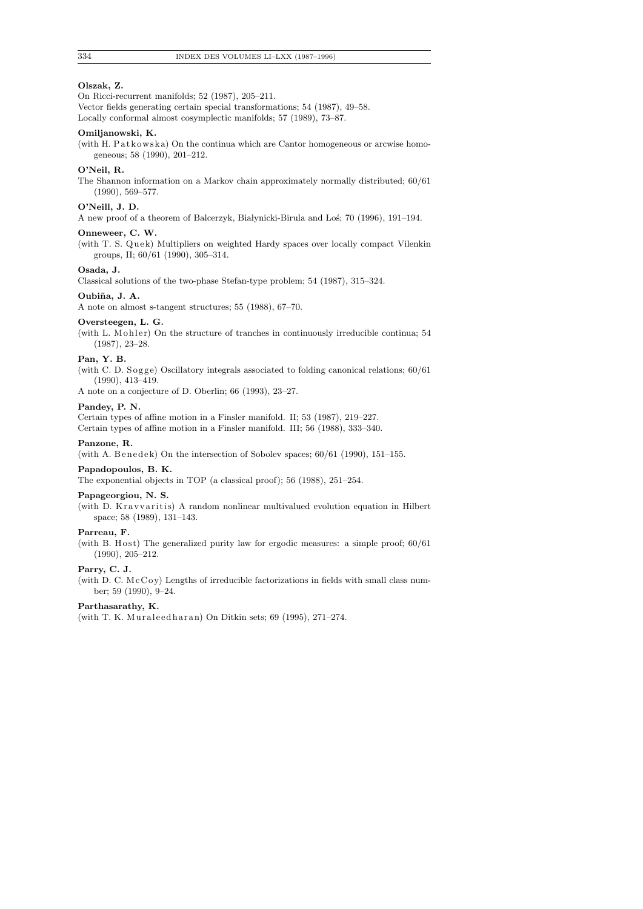## **Olszak, Z.**

On Ricci-recurrent manifolds; 52 (1987), 205–211.

Vector fields generating certain special transformations; 54 (1987), 49–58. Locally conformal almost cosymplectic manifolds; 57 (1989), 73–87.

#### **Omiljanowski, K.**

(with H. Patkowska) On the continua which are Cantor homogeneous or arcwise homogeneous; 58 (1990), 201–212.

## **O'Neil, R.**

The Shannon information on a Markov chain approximately normally distributed; 60/61 (1990), 569–577.

# **O'Neill, J. D.**

A new proof of a theorem of Balcerzyk, Białynicki-Birula and Loś; 70 (1996), 191-194.

#### **Onneweer, C. W.**

(with T. S. Quek) Multipliers on weighted Hardy spaces over locally compact Vilenkin groups, II; 60/61 (1990), 305–314.

# **Osada, J.**

Classical solutions of the two-phase Stefan-type problem; 54 (1987), 315–324.

# Oubiña, J. A.

A note on almost s-tangent structures; 55 (1988), 67–70.

## **Oversteegen, L. G.**

(with L. Mohler) On the structure of tranches in continuously irreducible continua; 54 (1987), 23–28.

## **Pan, Y. B.**

(with C. D. Sogge) Oscillatory integrals associated to folding canonical relations;  $60/61$ (1990), 413–419.

A note on a conjecture of D. Oberlin; 66 (1993), 23–27.

#### **Pandey, P. N.**

Certain types of affine motion in a Finsler manifold. II; 53 (1987), 219–227.

Certain types of affine motion in a Finsler manifold. III; 56 (1988), 333–340.

# **Panzone, R.**

(with A. Benedek) On the intersection of Sobolev spaces;  $60/61$  (1990), 151–155.

#### **Papadopoulos, B. K.**

The exponential objects in TOP (a classical proof); 56 (1988), 251–254.

#### **Papageorgiou, N. S.**

(with D. Kravvaritis) A random nonlinear multivalued evolution equation in Hilbert space; 58 (1989), 131–143.

## **Parreau, F.**

(with B. Host) The generalized purity law for ergodic measures: a simple proof;  $60/61$ (1990), 205–212.

## **Parry, C. J.**

(with D. C.  $\text{McCoy}$ ) Lengths of irreducible factorizations in fields with small class number; 59 (1990), 9–24.

## **Parthasarathy, K.**

(with T. K. Muraleedharan) On Ditkin sets; 69 (1995), 271-274.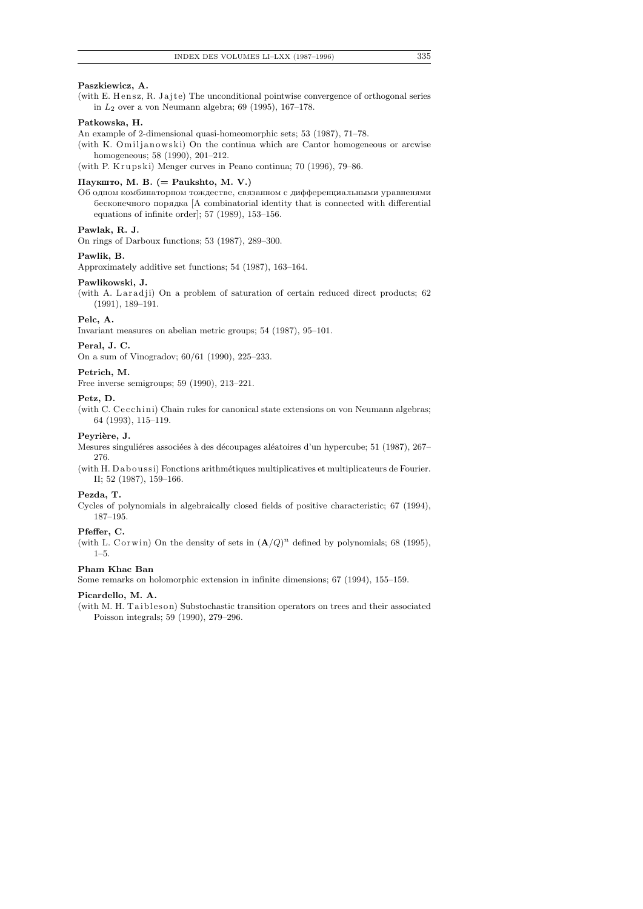## **Paszkiewicz, A.**

(with E. Hensz, R. Jajte) The unconditional pointwise convergence of orthogonal series in *L*2 over a von Neumann algebra; 69 (1995), 167–178.

## **Patkowska, H.**

An example of 2-dimensional quasi-homeomorphic sets; 53 (1987), 71–78.

(with K. Omiljanowski) On the continua which are Cantor homogeneous or arcwise homogeneous; 58 (1990), 201–212.

(with P. Krupski) Menger curves in Peano continua; 70 (1996), 79–86.

# $\Pi$ ayk $\mu$ ro, M. B. (= Paukshto, M. V.)

Об одном комбинаторном тождестве, связанном с дифференциальными уравненями  $\delta$ есконечного порядка [A combinatorial identity that is connected with differential equations of infinite order]; 57 (1989), 153–156.

## **Pawlak, R. J.**

On rings of Darboux functions; 53 (1987), 289–300.

#### **Pawlik, B.**

Approximately additive set functions; 54 (1987), 163–164.

#### **Pawlikowski, J.**

(with A. Laradji) On a problem of saturation of certain reduced direct products;  $62$ (1991), 189–191.

#### **Pelc, A.**

Invariant measures on abelian metric groups; 54 (1987), 95–101.

#### **Peral, J. C.**

On a sum of Vinogradov; 60/61 (1990), 225–233.

#### **Petrich, M.**

Free inverse semigroups; 59 (1990), 213–221.

#### **Petz, D.**

(with C. Cecchini) Chain rules for canonical state extensions on von Neumann algebras; 64 (1993), 115–119.

## Peyrière, J.

Mesures singuliéres associées à des découpages aléatoires d'un hypercube; 51 (1987), 267– 276.

(with H. Daboussi) Fonctions arithmétiques multiplicatives et multiplicateurs de Fourier. II; 52 (1987), 159–166.

#### **Pezda, T.**

Cycles of polynomials in algebraically closed fields of positive characteristic; 67 (1994), 187–195.

#### **Pfeffer, C.**

(with L. Corwin) On the density of sets in  $(\mathbf{A}/Q)^n$  defined by polynomials; 68 (1995), 1–5.

## **Pham Khac Ban**

Some remarks on holomorphic extension in infinite dimensions; 67 (1994), 155–159.

#### **Picardello, M. A.**

(with M. H. Taibleson) Substochastic transition operators on trees and their associated Poisson integrals; 59 (1990), 279–296.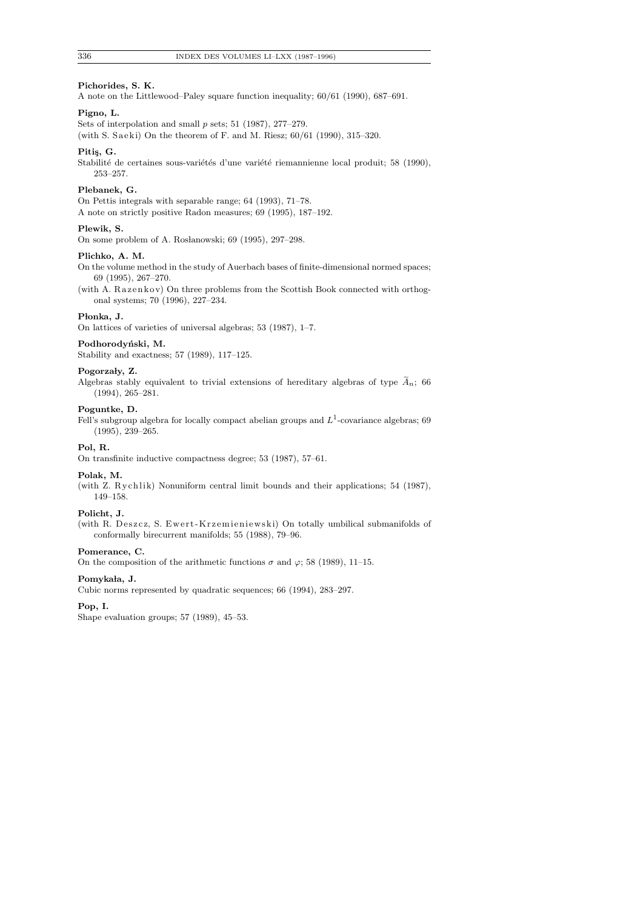#### **Pichorides, S. K.**

A note on the Littlewood–Paley square function inequality; 60/61 (1990), 687–691.

## **Pigno, L.**

Sets of interpolation and small *p* sets; 51 (1987), 277–279.

(with S. Saeki) On the theorem of F. and M. Riesz;  $60/61$  (1990), 315–320.

## Pitis, G.

Stabilité de certaines sous-variétés d'une variété riemannienne local produit; 58 (1990), 253–257.

#### **Plebanek, G.**

On Pettis integrals with separable range; 64 (1993), 71–78. A note on strictly positive Radon measures; 69 (1995), 187–192.

# **Plewik, S.**

On some problem of A. Rosłanowski; 69 (1995), 297–298.

#### **Plichko, A. M.**

On the volume method in the study of Auerbach bases of finite-dimensional normed spaces; 69 (1995), 267–270.

(with A. Razenkov) On three problems from the Scottish Book connected with orthogonal systems; 70 (1996), 227–234.

#### Płonka, J.

On lattices of varieties of universal algebras; 53 (1987), 1–7.

#### Podhorodyński, M.

Stability and exactness; 57 (1989), 117–125.

#### Pogorzały, Z.

Algebras stably equivalent to trivial extensions of hereditary algebras of type  $\widetilde{A}_n$ ; 66 (1994), 265–281.

## **Poguntke, D.**

Fell's subgroup algebra for locally compact abelian groups and  $L^1$ -covariance algebras; 69 (1995), 239–265.

## **Pol, R.**

On transfinite inductive compactness degree; 53 (1987), 57–61.

## **Polak, M.**

(with Z. Rychlik) Nonuniform central limit bounds and their applications; 54 (1987), 149–158.

# **Policht, J.**

(with R. Deszcz, S. Ewert-Krzemieniewski) On totally umbilical submanifolds of conformally birecurrent manifolds; 55 (1988), 79–96.

#### **Pomerance, C.**

On the composition of the arithmetic functions  $\sigma$  and  $\varphi$ ; 58 (1989), 11–15.

## Pomykała, J.

Cubic norms represented by quadratic sequences; 66 (1994), 283–297.

## **Pop, I.**

Shape evaluation groups; 57 (1989), 45–53.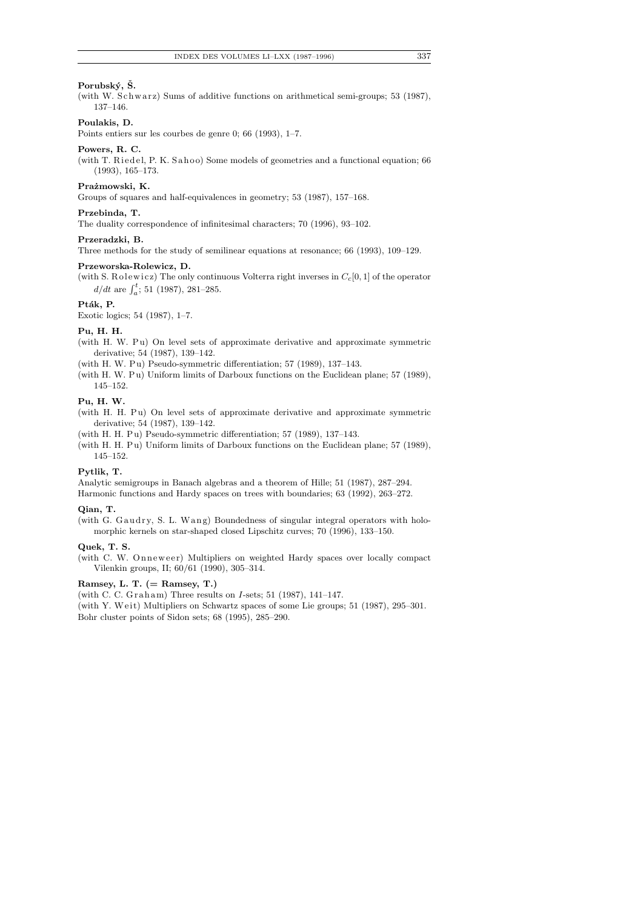## **Porubsk´y, S. ˇ**

(with W. Schwarz) Sums of additive functions on arithmetical semi-groups; 53 (1987), 137–146.

# **Poulakis, D.**

Points entiers sur les courbes de genre 0; 66 (1993), 1–7.

## **Powers, R. C.**

(with T. Riedel, P. K. Sahoo) Some models of geometries and a functional equation; 66 (1993), 165–173.

## Prażmowski, K.

Groups of squares and half-equivalences in geometry; 53 (1987), 157–168.

## **Przebinda, T.**

The duality correspondence of infinitesimal characters; 70 (1996), 93–102.

# **Przeradzki, B.**

Three methods for the study of semilinear equations at resonance; 66 (1993), 109–129.

#### **Przeworska-Rolewicz, D.**

(with S. R olewicz) The only continuous Volterra right inverses in  $C_c[0, 1]$  of the operator  $d/dt$  are  $\int_a^t$ ; 51 (1987), 281–285.

## Pták, P.

Exotic logics; 54 (1987), 1–7.

## **Pu, H. H.**

- (with H. W. Pu) On level sets of approximate derivative and approximate symmetric derivative; 54 (1987), 139–142.
- (with H. W. Pu) Pseudo-symmetric differentiation; 57 (1989), 137-143.
- (with H. W. Pu) Uniform limits of Darboux functions on the Euclidean plane; 57 (1989), 145–152.

## **Pu, H. W.**

- (with H. H. Pu) On level sets of approximate derivative and approximate symmetric derivative; 54 (1987), 139–142.
- (with H. H. Pu) Pseudo-symmetric differentiation; 57 (1989), 137-143.
- (with H. H. Pu) Uniform limits of Darboux functions on the Euclidean plane; 57 (1989), 145–152.

## **Pytlik, T.**

Analytic semigroups in Banach algebras and a theorem of Hille; 51 (1987), 287–294. Harmonic functions and Hardy spaces on trees with boundaries; 63 (1992), 263–272.

#### **Qian, T.**

(with G. Gaudry, S. L. Wang) Boundedness of singular integral operators with holomorphic kernels on star-shaped closed Lipschitz curves; 70 (1996), 133–150.

#### **Quek, T. S.**

(with C. W. Onneweer) Multipliers on weighted Hardy spaces over locally compact Vilenkin groups, II; 60/61 (1990), 305–314.

## **Ramsey, L. T. (= Ramsey, T.)**

(with C. C. Graham) Three results on *I*-sets; 51 (1987), 141–147.

(with Y. Weit) Multipliers on Schwartz spaces of some Lie groups; 51 (1987), 295–301. Bohr cluster points of Sidon sets; 68 (1995), 285–290.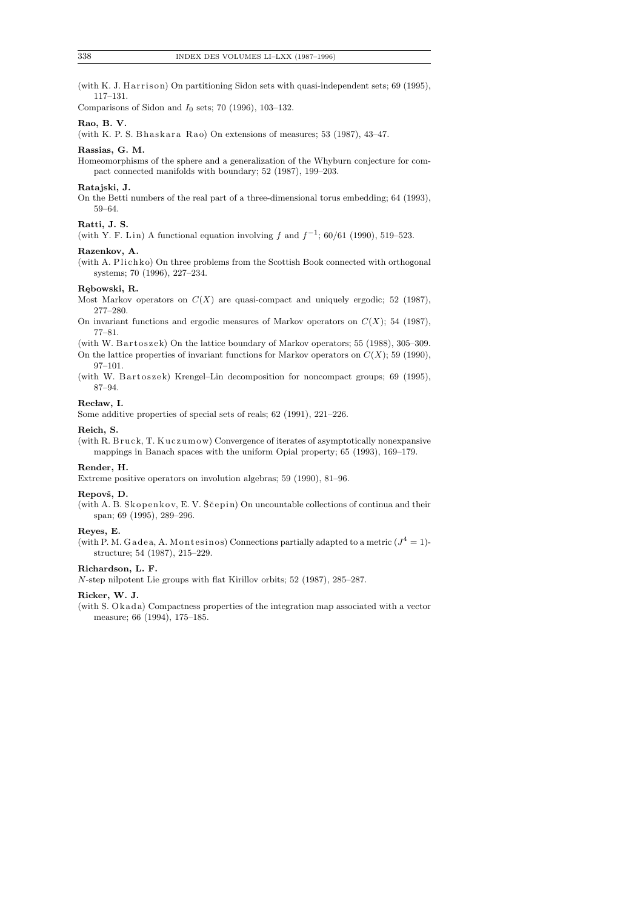(with K. J. Harrison) On partitioning Sidon sets with quasi-independent sets;  $69$  (1995), 117–131.

Comparisons of Sidon and *I*0 sets; 70 (1996), 103–132.

## **Rao, B. V.**

(with K. P. S. Bhaskara Rao) On extensions of measures;  $53$  (1987),  $43-47$ .

#### **Rassias, G. M.**

Homeomorphisms of the sphere and a generalization of the Whyburn conjecture for compact connected manifolds with boundary; 52 (1987), 199–203.

#### **Ratajski, J.**

On the Betti numbers of the real part of a three-dimensional torus embedding; 64 (1993), 59–64.

#### **Ratti, J. S.**

(with Y. F. Lin) A functional equation involving  $f$  and  $f^{-1}$ ; 60/61 (1990), 519–523.

#### **Razenkov, A.**

(with A. Plichko) On three problems from the Scottish Book connected with orthogonal systems; 70 (1996), 227–234.

## **R¸ebowski, R.**

Most Markov operators on  $C(X)$  are quasi-compact and uniquely ergodic; 52 (1987), 277–280.

On invariant functions and ergodic measures of Markov operators on  $C(X)$ ; 54 (1987), 77–81.

(with W. Bartoszek) On the lattice boundary of Markov operators; 55 (1988), 305–309.

On the lattice properties of invariant functions for Markov operators on  $C(X)$ ; 59 (1990), 97–101.

(with W. Bartoszek) Krengel–Lin decomposition for noncompact groups; 69 (1995), 87–94.

## Recław, I.

Some additive properties of special sets of reals; 62 (1991), 221–226.

#### **Reich, S.**

(with R. Bruck, T. Kuczumow) Convergence of iterates of asymptotically nonexpansive mappings in Banach spaces with the uniform Opial property; 65 (1993), 169–179.

#### **Render, H.**

Extreme positive operators on involution algebras; 59 (1990), 81–96.

#### Repovš, D.

(with A. B. Skopenkov, E. V.  $\check{S}$ cepin) On uncountable collections of continua and their span; 69 (1995), 289–296.

#### **Reyes, E.**

(with P. M. Gadea, A. Montesinos) Connections partially adapted to a metric  $(J^4 = 1)$ structure; 54 (1987), 215–229.

## **Richardson, L. F.**

*N*-step nilpotent Lie groups with flat Kirillov orbits; 52 (1987), 285–287.

#### **Ricker, W. J.**

(with S. O k ad a) Compactness properties of the integration map associated with a vector measure; 66 (1994), 175–185.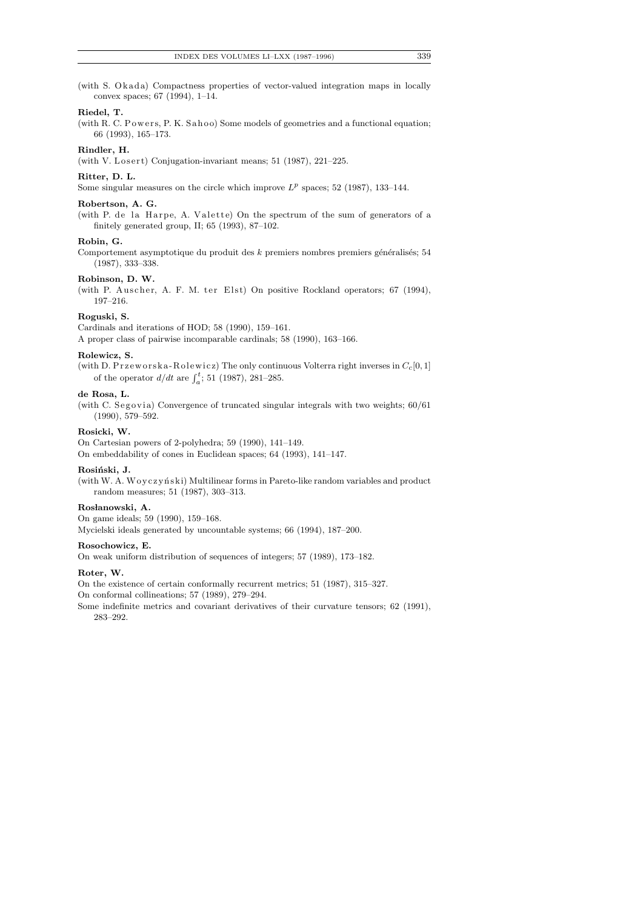(with S. Okada) Compactness properties of vector-valued integration maps in locally convex spaces; 67 (1994), 1–14.

## **Riedel, T.**

(with R. C. Powers, P. K. Sahoo) Some models of geometries and a functional equation; 66 (1993), 165–173.

## **Rindler, H.**

(with V. Losert) Conjugation-invariant means; 51 (1987), 221-225.

#### **Ritter, D. L.**

Some singular measures on the circle which improve  $L^p$  spaces; 52 (1987), 133-144.

## **Robertson, A. G.**

(with P. de la Harpe, A. Valette) On the spectrum of the sum of generators of a finitely generated group, II; 65 (1993), 87–102.

## **Robin, G.**

Comportement asymptotique du produit des *k* premiers nombres premiers généralisés; 54 (1987), 333–338.

## **Robinson, D. W.**

(with P. Auscher, A. F. M. ter Elst) On positive Rockland operators; 67 (1994), 197–216.

#### **Roguski, S.**

Cardinals and iterations of HOD; 58 (1990), 159–161. A proper class of pairwise incomparable cardinals; 58 (1990), 163–166.

#### **Rolewicz, S.**

(with D. Przeworska-Rolewicz) The only continuous Volterra right inverses in  $C_c[0,1]$ of the operator  $d/dt$  are  $\int_a^t$ ; 51 (1987), 281–285.

## **de Rosa, L.**

(with C. Segovia) Convergence of truncated singular integrals with two weights;  $60/61$ (1990), 579–592.

#### **Rosicki, W.**

On Cartesian powers of 2-polyhedra; 59 (1990), 141–149. On embeddability of cones in Euclidean spaces; 64 (1993), 141–147.

#### Rosiński, J.

(with W. A. Woyczyński) Multilinear forms in Pareto-like random variables and product random measures; 51 (1987), 303–313.

#### Rosłanowski, A.

On game ideals; 59 (1990), 159–168. Mycielski ideals generated by uncountable systems; 66 (1994), 187–200.

#### **Rosochowicz, E.**

On weak uniform distribution of sequences of integers; 57 (1989), 173–182.

## **Roter, W.**

On the existence of certain conformally recurrent metrics; 51 (1987), 315–327. On conformal collineations; 57 (1989), 279–294.

Some indefinite metrics and covariant derivatives of their curvature tensors; 62 (1991), 283–292.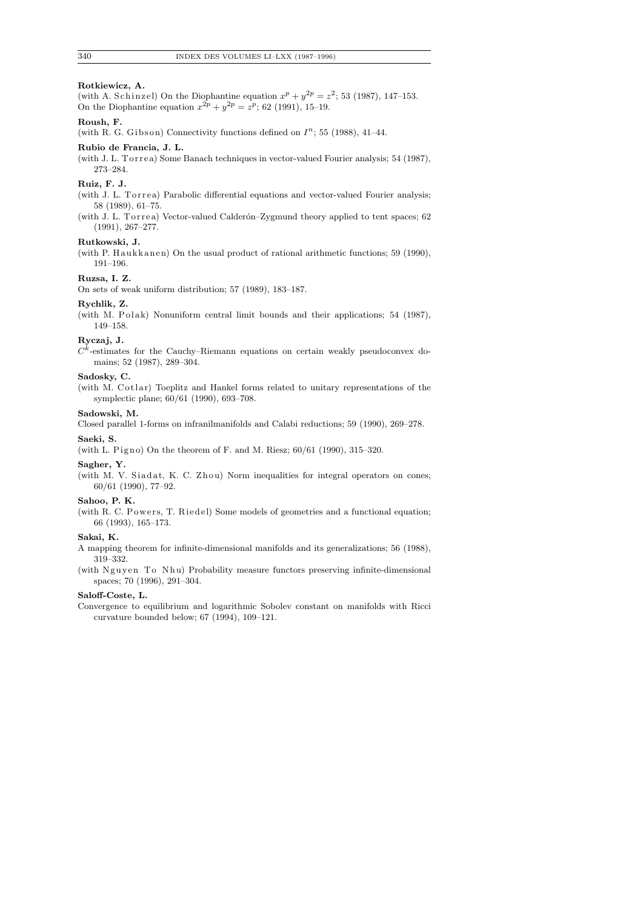## **Rotkiewicz, A.**

(with A. Schinzel) On the Diophantine equation  $x^p + y^{2p} = z^2$ ; 53 (1987), 147–153. On the Diophantine equation  $x^{2p} + y^{2p} = z^p$ ; 62 (1991), 15-19.

# **Roush, F.**

(with R. G. Gibson) Connectivity functions defined on  $I^n$ ; 55 (1988), 41-44.

## **Rubio de Francia, J. L.**

(with J. L. Torrea) Some Banach techniques in vector-valued Fourier analysis; 54 (1987), 273–284.

## **Ruiz, F. J.**

(with J. L. Torrea) Parabolic differential equations and vector-valued Fourier analysis; 58 (1989), 61–75.

(with J. L. Torrea) Vector-valued Calderón-Zygmund theory applied to tent spaces; 62 (1991), 267–277.

## **Rutkowski, J.**

(with P. Haukkanen) On the usual product of rational arithmetic functions; 59 (1990), 191–196.

## **Ruzsa, I. Z.**

On sets of weak uniform distribution; 57 (1989), 183–187.

## **Rychlik, Z.**

(with M. Polak) Nonuniform central limit bounds and their applications; 54 (1987), 149–158.

#### **Ryczaj, J.**

 $C$ *k* -estimates for the Cauchy–Riemann equations on certain weakly pseudoconvex domains; 52 (1987), 289–304.

## **Sadosky, C.**

(with M. Cotlar) Toeplitz and Hankel forms related to unitary representations of the symplectic plane; 60/61 (1990), 693–708.

# **Sadowski, M.**

Closed parallel 1-forms on infranilmanifolds and Calabi reductions; 59 (1990), 269–278. **Saeki, S.**

(with L. Pigno) On the theorem of F. and M. Riesz;  $60/61$  (1990), 315-320.

## **Sagher, Y.**

(with M. V. Siadat, K. C. Zhou) Norm inequalities for integral operators on cones; 60/61 (1990), 77–92.

## **Sahoo, P. K.**

(with R. C. Powers, T. Riedel) Some models of geometries and a functional equation; 66 (1993), 165–173.

## **Sakai, K.**

A mapping theorem for infinite-dimensional manifolds and its generalizations; 56 (1988), 319–332.

(with Nguyen To Nhu) Probability measure functors preserving infinite-dimensional spaces; 70 (1996), 291–304.

## **Saloff-Coste, L.**

Convergence to equilibrium and logarithmic Sobolev constant on manifolds with Ricci curvature bounded below; 67 (1994), 109–121.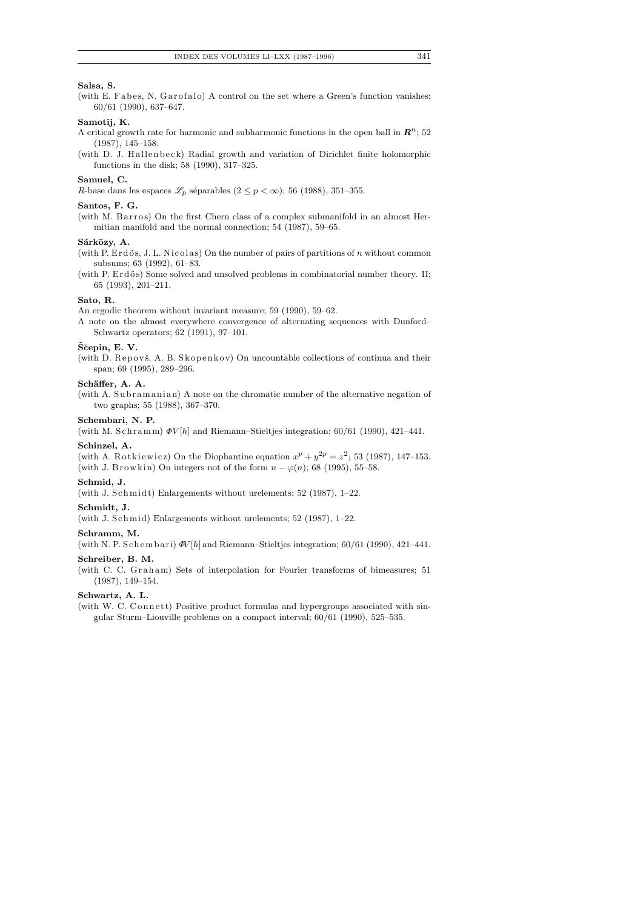## **Salsa, S.**

(with E. Fabes, N. Garofalo) A control on the set where a Green's function vanishes; 60/61 (1990), 637–647.

# **Samotij, K.**

- A critical growth rate for harmonic and subharmonic functions in the open ball in  $\mathbb{R}^n$ ; 52 (1987), 145–158.
- (with D. J. Hallenbeck) Radial growth and variation of Dirichlet finite holomorphic functions in the disk; 58 (1990), 317–325.

## **Samuel, C.**

*R*-base dans les espaces  $\mathscr{L}_p$  séparables ( $2 \leq p < \infty$ ); 56 (1988), 351–355.

## **Santos, F. G.**

(with M. Barros) On the first Chern class of a complex submanifold in an almost Hermitian manifold and the normal connection; 54 (1987), 59–65.

## Sárközy, A.

(with P. Erdős, J. L. Nicolas) On the number of pairs of partitions of *n* without common subsums; 63 (1992), 61–83.

(with P.  $Erd\ddot{o}s$ ) Some solved and unsolved problems in combinatorial number theory. II; 65 (1993), 201–211.

## **Sato, R.**

An ergodic theorem without invariant measure; 59 (1990), 59–62.

A note on the almost everywhere convergence of alternating sequences with Dunford– Schwartz operators; 62 (1991), 97–101.

#### **Sˇcepin, E. V. ˇ**

(with D. Repovš, A. B. Skopenkov) On uncountable collections of continua and their span; 69 (1995), 289–296.

## Schäffer, A. A.

(with A. Subramanian) A note on the chromatic number of the alternative negation of two graphs; 55 (1988), 367–370.

# **Schembari, N. P.**

(with M. Schramm)  $\Phi V[h]$  and Riemann–Stieltjes integration; 60/61 (1990), 421–441.

# **Schinzel, A.**

(with A. Rotkiewicz) On the Diophantine equation  $x^p + y^{2p} = z^2$ ; 53 (1987), 147-153. (with J. Browkin) On integers not of the form  $n - \varphi(n)$ ; 68 (1995), 55–58.

## **Schmid, J.**

(with J. Schmidt) Enlargements without urelements;  $52$  (1987), 1–22.

## **Schmidt, J.**

(with J. Schmid) Enlargements without urelements; 52 (1987),  $1-22$ .

## **Schramm, M.**

(with N. P. Schembari)  $\Phi$ <sup>*V*</sup>[*h*] and Riemann–Stieltjes integration; 60/61 (1990), 421-441.

## **Schreiber, B. M.**

(with C. C. Graham) Sets of interpolation for Fourier transforms of bimeasures; 51 (1987), 149–154.

#### **Schwartz, A. L.**

(with W. C. Connett) Positive product formulas and hypergroups associated with singular Sturm–Liouville problems on a compact interval; 60/61 (1990), 525–535.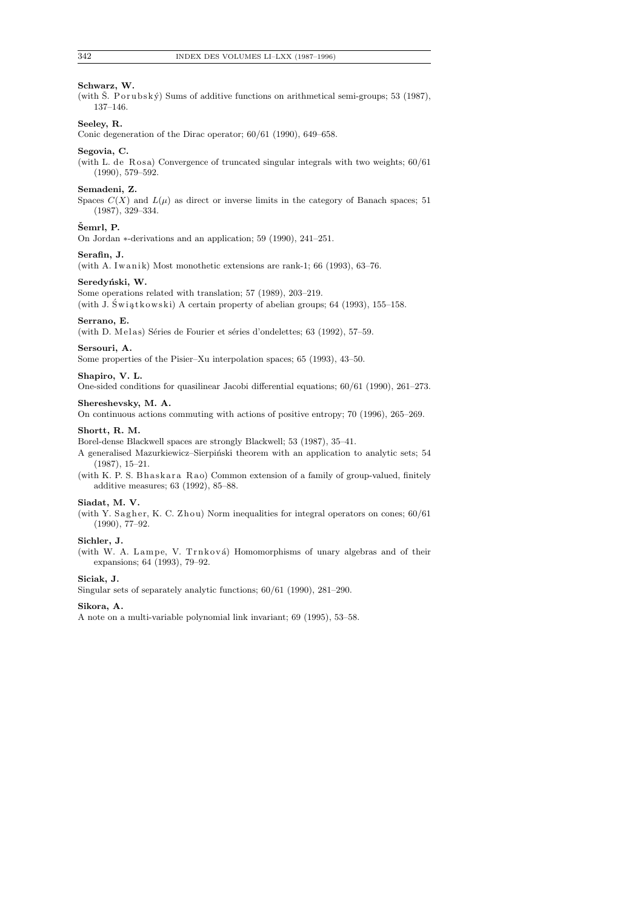## **Schwarz, W.**

(with  $\check{S}$ . P or u bs k  $\check{y}$ ) Sums of additive functions on arithmetical semi-groups; 53 (1987), 137–146.

# **Seeley, R.**

Conic degeneration of the Dirac operator; 60/61 (1990), 649–658.

## **Segovia, C.**

(with L. de Rosa) Convergence of truncated singular integrals with two weights;  $60/61$ (1990), 579–592.

#### **Semadeni, Z.**

Spaces  $C(X)$  and  $L(\mu)$  as direct or inverse limits in the category of Banach spaces; 51 (1987), 329–334.

## $\check{S}$ emrl, P.

On Jordan *∗*-derivations and an application; 59 (1990), 241–251.

#### **Serafin, J.**

(with A. Iwanik) Most monothetic extensions are rank-1; 66 (1993), 63-76.

## Seredyński, W.

Some operations related with translation; 57 (1989), 203–219.

(with J. Świątkowski) A certain property of abelian groups; 64 (1993), 155-158.

#### **Serrano, E.**

(with D. Melas) Séries de Fourier et séries d'ondelettes; 63 (1992), 57-59.

#### **Sersouri, A.**

Some properties of the Pisier–Xu interpolation spaces; 65 (1993), 43–50.

#### **Shapiro, V. L.**

One-sided conditions for quasilinear Jacobi differential equations; 60/61 (1990), 261–273.

#### **Shereshevsky, M. A.**

On continuous actions commuting with actions of positive entropy; 70 (1996), 265–269.

#### **Shortt, R. M.**

Borel-dense Blackwell spaces are strongly Blackwell; 53 (1987), 35–41.

A generalised Mazurkiewicz–Sierpiński theorem with an application to analytic sets; 54 (1987), 15–21.

(with K. P. S. Bh as k a r a R a o) Common extension of a family of group-valued, finitely additive measures; 63 (1992), 85–88.

## **Siadat, M. V.**

(with Y. Sagher, K. C. Zhou) Norm inequalities for integral operators on cones;  $60/61$ (1990), 77–92.

## **Sichler, J.**

(with W. A. Lampe, V. Trnková) Homomorphisms of unary algebras and of their expansions; 64 (1993), 79–92.

## **Siciak, J.**

Singular sets of separately analytic functions; 60/61 (1990), 281–290.

## **Sikora, A.**

A note on a multi-variable polynomial link invariant; 69 (1995), 53–58.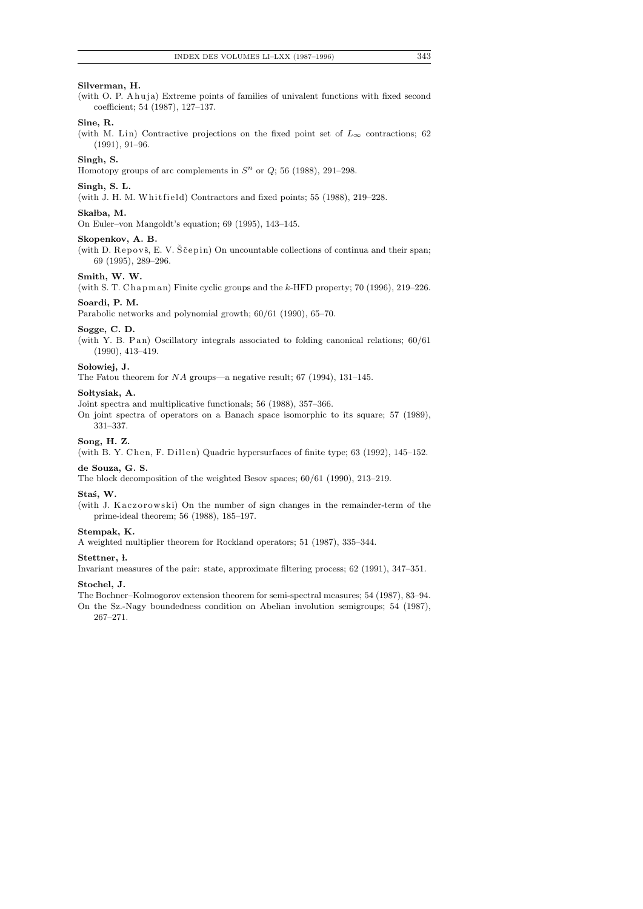# **Silverman, H.**

(with O. P. A huja) Extreme points of families of univalent functions with fixed second coefficient; 54 (1987), 127–137.

# **Sine, R.**

(with M. Lin) Contractive projections on the fixed point set of  $L_{\infty}$  contractions; 62 (1991), 91–96.

# **Singh, S.**

Homotopy groups of arc complements in  $S<sup>n</sup>$  or  $Q$ ; 56 (1988), 291–298.

#### **Singh, S. L.**

(with J. H. M. Whitfield) Contractors and fixed points; 55 (1988),  $219-228$ .

#### Skałba, M.

On Euler–von Mangoldt's equation; 69 (1995), 143–145.

## **Skopenkov, A. B.**

(with D. Repovš, E. V. Ščepin) On uncountable collections of continua and their span; 69 (1995), 289–296.

# **Smith, W. W.**

(with S. T. Chapman) Finite cyclic groups and the *k*-HFD property; 70 (1996), 219–226.

## **Soardi, P. M.**

Parabolic networks and polynomial growth; 60/61 (1990), 65–70.

#### **Sogge, C. D.**

(with Y. B. P an) Oscillatory integrals associated to folding canonical relations;  $60/61$ (1990), 413–419.

## Sołowiej, J.

The Fatou theorem for *NA* groups—a negative result; 67 (1994), 131–145.

#### Sołtysiak, A.

Joint spectra and multiplicative functionals; 56 (1988), 357–366.

On joint spectra of operators on a Banach space isomorphic to its square; 57 (1989), 331–337.

#### **Song, H. Z.**

(with B. Y. Chen, F. Dillen) Quadric hypersurfaces of finite type; 63 (1992), 145-152.

#### **de Souza, G. S.**

The block decomposition of the weighted Besov spaces; 60/61 (1990), 213–219.

#### Staś, W.

(with J. Kaczorowski) On the number of sign changes in the remainder-term of the prime-ideal theorem; 56 (1988), 185–197.

#### **Stempak, K.**

A weighted multiplier theorem for Rockland operators; 51 (1987), 335–344.

#### **Stettner, l.**

Invariant measures of the pair: state, approximate filtering process; 62 (1991), 347–351.

#### **Stochel, J.**

The Bochner–Kolmogorov extension theorem for semi-spectral measures; 54 (1987), 83–94. On the Sz.-Nagy boundedness condition on Abelian involution semigroups; 54 (1987), 267–271.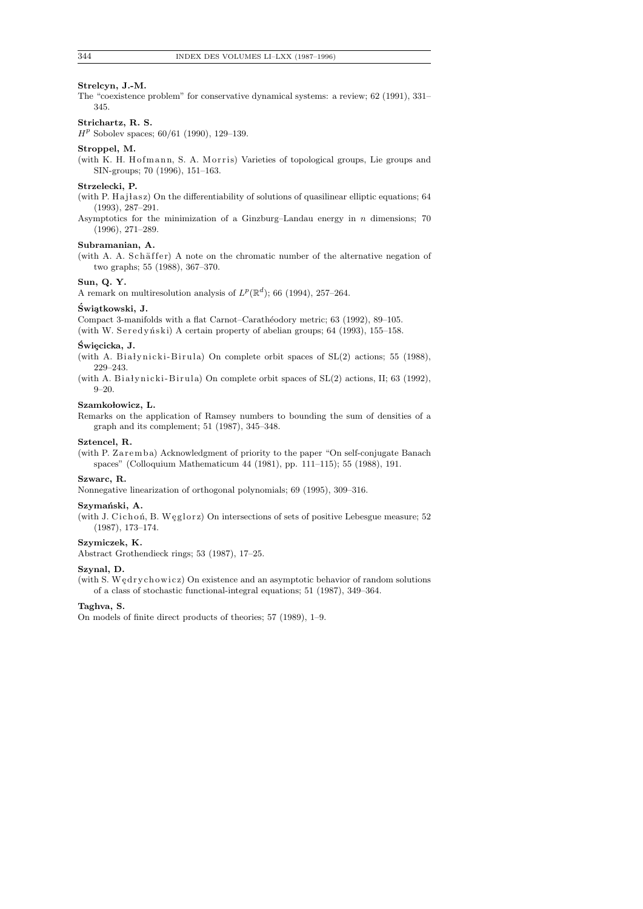#### **Strelcyn, J.-M.**

The "coexistence problem" for conservative dynamical systems: a review; 62 (1991), 331– 345.

## **Strichartz, R. S.**

*H<sup>p</sup>* Sobolev spaces; 60/61 (1990), 129–139.

## **Stroppel, M.**

(with K. H. Hofmann, S. A. Morris) Varieties of topological groups, Lie groups and SIN-groups; 70 (1996), 151–163.

## **Strzelecki, P.**

(with P. Ha j l as z) On the differentiability of solutions of quasilinear elliptic equations;  $64$ (1993), 287–291.

Asymptotics for the minimization of a Ginzburg–Landau energy in *n* dimensions; 70 (1996), 271–289.

## **Subramanian, A.**

(with A. A. Schäffer) A note on the chromatic number of the alternative negation of two graphs; 55 (1988), 367–370.

#### **Sun, Q. Y.**

A remark on multiresolution analysis of  $L^p(\mathbb{R}^d)$ ; 66 (1994), 257–264.

# **Swi¸atkowski, J. ´**

Compact 3-manifolds with a flat Carnot–Carathéodory metric; 63 (1992), 89–105.

(with W. Seredyński) A certain property of abelian groups;  $64$  (1993), 155–158.

#### $\acute{\textbf{S}}$ wiecicka, J.

(with A. Białynicki-Birula) On complete orbit spaces of  $SL(2)$  actions; 55 (1988), 229–243.

(with A. Białynicki-Birula) On complete orbit spaces of  $SL(2)$  actions, II; 63 (1992), 9–20.

## Szamkołowicz, L.

Remarks on the application of Ramsey numbers to bounding the sum of densities of a graph and its complement; 51 (1987), 345–348.

## **Sztencel, R.**

(with P. Zaremba) Acknowledgment of priority to the paper "On self-conjugate Banach spaces" (Colloquium Mathematicum 44 (1981), pp. 111–115); 55 (1988), 191.

# **Szwarc, R.**

Nonnegative linearization of orthogonal polynomials; 69 (1995), 309–316.

## Szymański, A.

(with J. Cichoń, B. Węglorz) On intersections of sets of positive Lebesgue measure; 52 (1987), 173–174.

## **Szymiczek, K.**

Abstract Grothendieck rings; 53 (1987), 17–25.

#### **Szynal, D.**

(with S. Wedrychowicz) On existence and an asymptotic behavior of random solutions of a class of stochastic functional-integral equations; 51 (1987), 349–364.

## **Taghva, S.**

On models of finite direct products of theories; 57 (1989), 1–9.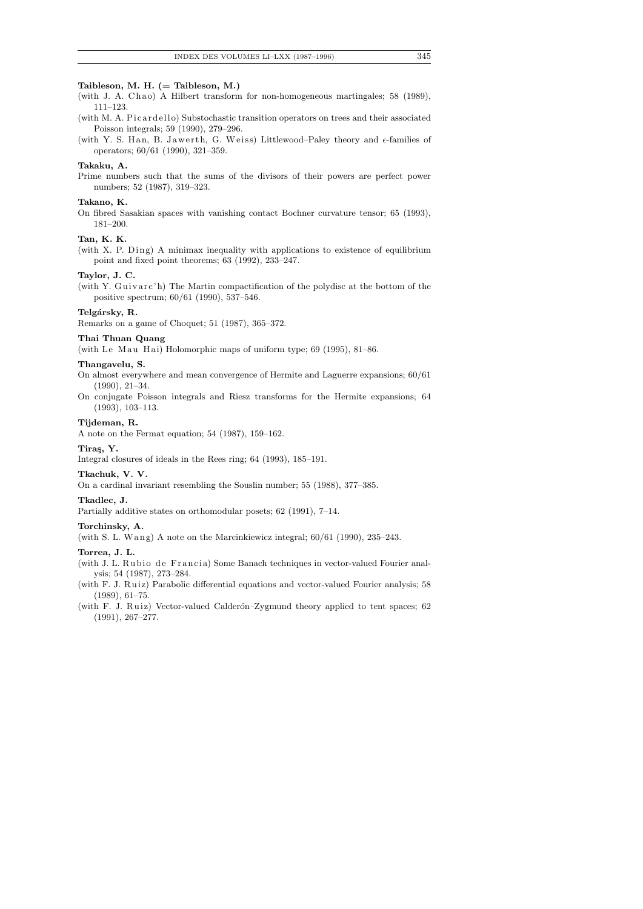## **Taibleson, M. H. (= Taibleson, M.)**

- (with J. A. Chao) A Hilbert transform for non-homogeneous martingales; 58 (1989), 111–123.
- (with M. A. Picardello) Substochastic transition operators on trees and their associated Poisson integrals; 59 (1990), 279–296.
- (with Y. S. Han, B. Jawerth, G. Weiss) Littlewood–Paley theory and  $\epsilon$ -families of operators; 60/61 (1990), 321–359.

#### **Takaku, A.**

Prime numbers such that the sums of the divisors of their powers are perfect power numbers; 52 (1987), 319–323.

## **Takano, K.**

On fibred Sasakian spaces with vanishing contact Bochner curvature tensor; 65 (1993), 181–200.

## **Tan, K. K.**

(with X. P. Ding) A minimax inequality with applications to existence of equilibrium point and fixed point theorems; 63 (1992), 233–247.

## **Taylor, J. C.**

(with Y. Guivarc'h) The Martin compactification of the polydisc at the bottom of the positive spectrum; 60/61 (1990), 537–546.

## Telgársky, R.

Remarks on a game of Choquet; 51 (1987), 365–372.

#### **Thai Thuan Quang**

(with Le Mau Hai) Holomorphic maps of uniform type; 69 (1995), 81-86.

## **Thangavelu, S.**

- On almost everywhere and mean convergence of Hermite and Laguerre expansions; 60/61 (1990), 21–34.
- On conjugate Poisson integrals and Riesz transforms for the Hermite expansions; 64 (1993), 103–113.

## **Tijdeman, R.**

A note on the Fermat equation; 54 (1987), 159–162.

#### **Tira¸s, Y.**

Integral closures of ideals in the Rees ring; 64 (1993), 185–191.

#### **Tkachuk, V. V.**

On a cardinal invariant resembling the Souslin number; 55 (1988), 377–385.

#### **Tkadlec, J.**

Partially additive states on orthomodular posets; 62 (1991), 7–14.

## **Torchinsky, A.**

(with S. L. Wang) A note on the Marcinkiewicz integral;  $60/61$  (1990), 235–243.

#### **Torrea, J. L.**

- (with J. L. Rubio de Francia) Some Banach techniques in vector-valued Fourier analysis; 54 (1987), 273–284.
- (with F. J. Ruiz) Parabolic differential equations and vector-valued Fourier analysis; 58 (1989), 61–75.
- (with F. J. Ruiz) Vector-valued Calderón–Zygmund theory applied to tent spaces; 62 (1991), 267–277.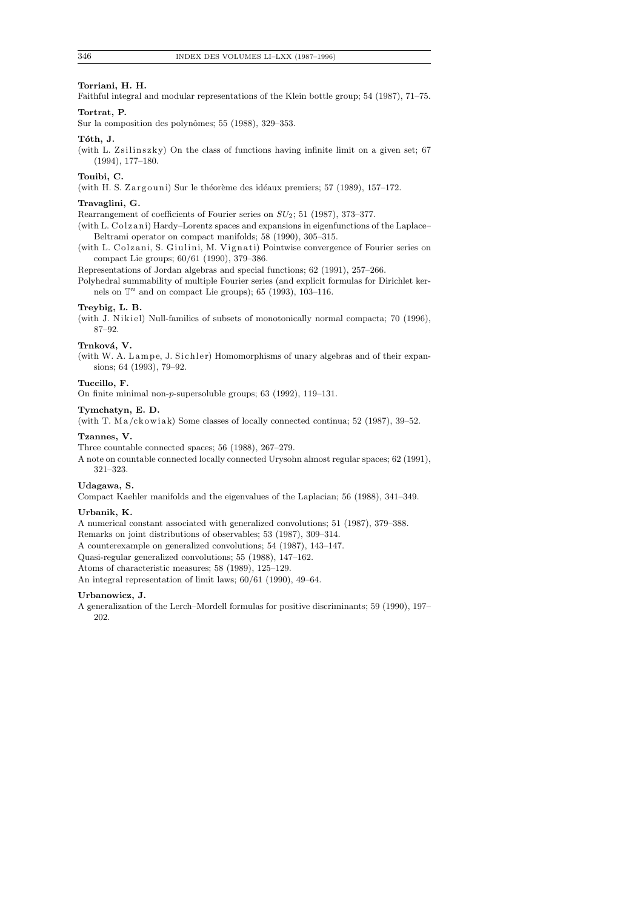# **Torriani, H. H.**

Faithful integral and modular representations of the Klein bottle group; 54 (1987), 71–75.

# **Tortrat, P.**

Sur la composition des polynômes; 55 (1988), 329-353.

#### **T´oth, J.**

(with L. Zsilinszky) On the class of functions having infinite limit on a given set;  $67$ (1994), 177–180.

## **Touibi, C.**

(with H. S. Zargouni) Sur le théorème des idéaux premiers; 57 (1989), 157-172.

## **Travaglini, G.**

Rearrangement of coefficients of Fourier series on *SU*2; 51 (1987), 373–377.

- (with L. Colzani) Hardy–Lorentz spaces and expansions in eigenfunctions of the Laplace– Beltrami operator on compact manifolds; 58 (1990), 305–315.
- (with L. Colzani, S. Giulini, M. Vignati) Pointwise convergence of Fourier series on compact Lie groups; 60/61 (1990), 379–386.

Representations of Jordan algebras and special functions; 62 (1991), 257–266.

Polyhedral summability of multiple Fourier series (and explicit formulas for Dirichlet kernels on  $\mathbb{T}^n$  and on compact Lie groups); 65 (1993), 103-116.

#### **Treybig, L. B.**

(with J. Nikiel) Null-families of subsets of monotonically normal compacta; 70 (1996), 87–92.

#### Trnková, V.

(with W. A. Lampe, J. Sichler) Homomorphisms of unary algebras and of their expansions; 64 (1993), 79–92.

# **Tuccillo, F.**

On finite minimal non-*p*-supersoluble groups; 63 (1992), 119–131.

#### **Tymchatyn, E. D.**

(with T.  $Ma/c k$  owiak) Some classes of locally connected continua; 52 (1987), 39–52.

#### **Tzannes, V.**

Three countable connected spaces; 56 (1988), 267–279.

A note on countable connected locally connected Urysohn almost regular spaces; 62 (1991), 321–323.

## **Udagawa, S.**

Compact Kaehler manifolds and the eigenvalues of the Laplacian; 56 (1988), 341–349.

## **Urbanik, K.**

A numerical constant associated with generalized convolutions; 51 (1987), 379–388.

Remarks on joint distributions of observables; 53 (1987), 309–314.

A counterexample on generalized convolutions; 54 (1987), 143–147.

Quasi-regular generalized convolutions; 55 (1988), 147–162.

Atoms of characteristic measures; 58 (1989), 125–129.

An integral representation of limit laws; 60/61 (1990), 49–64.

#### **Urbanowicz, J.**

A generalization of the Lerch–Mordell formulas for positive discriminants; 59 (1990), 197– 202.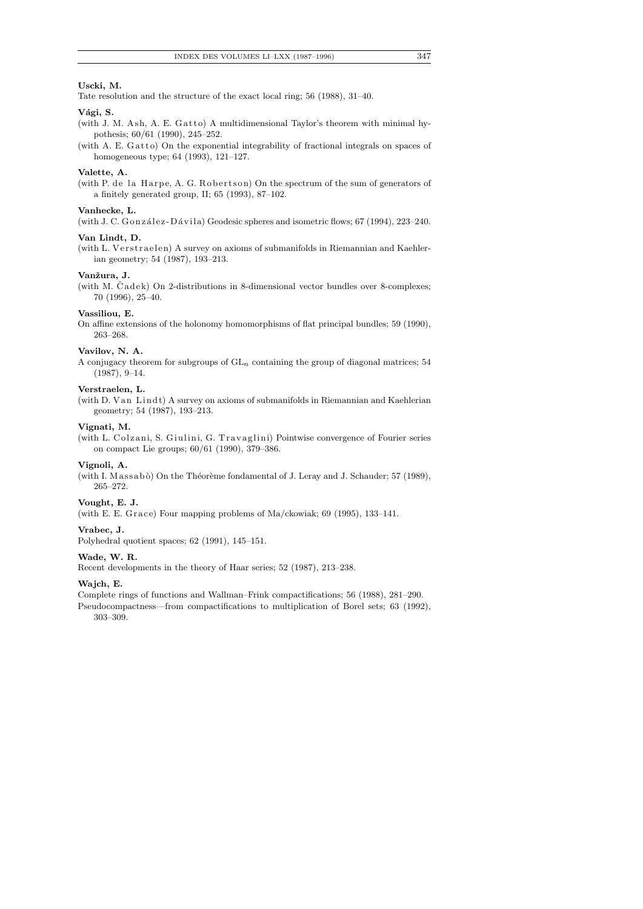## **Uscki, M.**

Tate resolution and the structure of the exact local ring; 56 (1988), 31–40.

## Vági, S.

(with J. M. Ash, A. E. Gatto) A multidimensional Taylor's theorem with minimal hypothesis; 60/61 (1990), 245–252.

(with A. E.  $G$  atto) On the exponential integrability of fractional integrals on spaces of homogeneous type; 64 (1993), 121–127.

#### **Valette, A.**

(with P. de la Harpe, A. G. Robertson) On the spectrum of the sum of generators of a finitely generated group, II; 65 (1993), 87–102.

#### **Vanhecke, L.**

(with J. C. González-Dávila) Geodesic spheres and isometric flows; 67 (1994), 223-240.

# **Van Lindt, D.**

(with L. Verstraelen) A survey on axioms of submanifolds in Riemannian and Kaehlerian geometry; 54 (1987), 193–213.

## **Vanˇzura, J.**

(with M. Cadek) On 2-distributions in 8-dimensional vector bundles over 8-complexes; 70 (1996), 25–40.

## **Vassiliou, E.**

On affine extensions of the holonomy homomorphisms of flat principal bundles; 59 (1990), 263–268.

## **Vavilov, N. A.**

A conjugacy theorem for subgroups of GL*n* containing the group of diagonal matrices; 54 (1987), 9–14.

## **Verstraelen, L.**

(with D. Van Lindt) A survey on axioms of submanifolds in Riemannian and Kaehlerian geometry; 54 (1987), 193–213.

## **Vignati, M.**

(with L. Colzani, S. Giulini, G. Travaglini) Pointwise convergence of Fourier series on compact Lie groups; 60/61 (1990), 379–386.

#### **Vignoli, A.**

(with I. Massabò) On the Théorème fondamental of J. Leray and J. Schauder; 57 (1989), 265–272.

## **Vought, E. J.**

(with E. E. Grace) Four mapping problems of Ma/ckowiak;  $69$  (1995), 133-141.

## **Vrabec, J.**

Polyhedral quotient spaces; 62 (1991), 145–151.

#### **Wade, W. R.**

Recent developments in the theory of Haar series; 52 (1987), 213–238.

#### **Wajch, E.**

Complete rings of functions and Wallman–Frink compactifications; 56 (1988), 281–290.

Pseudocompactness—from compactifications to multiplication of Borel sets; 63 (1992), 303–309.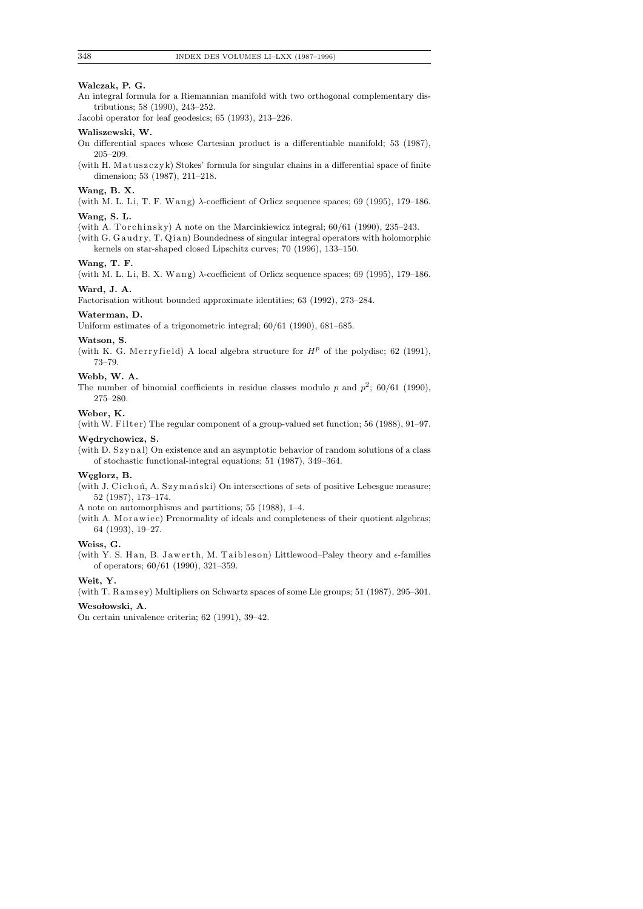# **Walczak, P. G.**

An integral formula for a Riemannian manifold with two orthogonal complementary distributions; 58 (1990), 243–252.

Jacobi operator for leaf geodesics; 65 (1993), 213–226.

#### **Waliszewski, W.**

- On differential spaces whose Cartesian product is a differentiable manifold; 53 (1987), 205–209.
- (with H. Matuszczyk) Stokes' formula for singular chains in a differential space of finite dimension; 53 (1987), 211–218.

#### **Wang, B. X.**

(with M. L. Li, T. F. Wang) *λ*-coefficient of Orlicz sequence spaces; 69 (1995), 179–186. **Wang, S. L.**

- (with A. Torchinsky) A note on the Marcinkiewicz integral;  $60/61$  (1990), 235–243.
- (with G. Gaudry, T. Qian) Boundedness of singular integral operators with holomorphic kernels on star-shaped closed Lipschitz curves; 70 (1996), 133–150.

## **Wang, T. F.**

(with M. L. Li, B. X. Wang)  $\lambda$ -coefficient of Orlicz sequence spaces; 69 (1995), 179–186. **Ward, J. A.**

Factorisation without bounded approximate identities; 63 (1992), 273–284.

#### **Waterman, D.**

Uniform estimates of a trigonometric integral; 60/61 (1990), 681–685.

#### **Watson, S.**

(with K. G. Merryfield) A local algebra structure for  $H^p$  of the polydisc; 62 (1991), 73–79.

# **Webb, W. A.**

The number of binomial coefficients in residue classes modulo  $p$  and  $p^2$ ; 60/61 (1990), 275–280.

## **Weber, K.**

(with W. Filter) The regular component of a group-valued set function;  $56$  (1988),  $91-97$ .

#### **W¸edrychowicz, S.**

(with D. Szynal) On existence and an asymptotic behavior of random solutions of a class of stochastic functional-integral equations; 51 (1987), 349–364.

## Weglorz, B.

(with J. Cichoń, A. Szymański) On intersections of sets of positive Lebesgue measure; 52 (1987), 173–174.

A note on automorphisms and partitions; 55 (1988), 1–4.

(with A. M or awiec) Prenormality of ideals and completeness of their quotient algebras; 64 (1993), 19–27.

## **Weiss, G.**

(with Y. S. Han, B. Jawerth, M. Taibleson) Littlewood–Paley theory and  $\epsilon$ -families of operators; 60/61 (1990), 321–359.

#### **Weit, Y.**

(with T. Ramsey) Multipliers on Schwartz spaces of some Lie groups;  $51$  (1987), 295–301.

## Wesołowski, A.

On certain univalence criteria; 62 (1991), 39–42.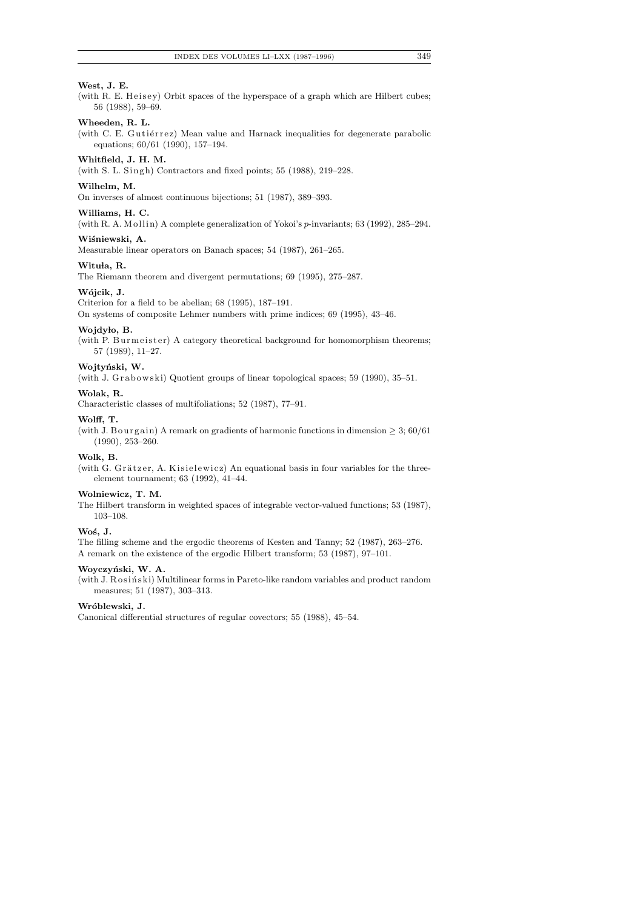# **West, J. E.**

(with R. E. Heisey) Orbit spaces of the hyperspace of a graph which are Hilbert cubes; 56 (1988), 59–69.

# **Wheeden, R. L.**

(with C. E. Gutiérrez) Mean value and Harnack inequalities for degenerate parabolic equations; 60/61 (1990), 157–194.

## **Whitfield, J. H. M.**

(with S. L. Singh) Contractors and fixed points;  $55$  (1988),  $219-228$ .

# **Wilhelm, M.**

On inverses of almost continuous bijections; 51 (1987), 389–393.

#### **Williams, H. C.**

(with R. A. Mollin) A complete generalization of Yokoi's *p*-invariants; 63 (1992), 285–294.

## Wiśniewski, A.

Measurable linear operators on Banach spaces; 54 (1987), 261–265.

## Wituła, R.

The Riemann theorem and divergent permutations; 69 (1995), 275–287.

# **W´ojcik, J.**

Criterion for a field to be abelian; 68 (1995), 187–191.

On systems of composite Lehmer numbers with prime indices; 69 (1995), 43–46.

## **Wojdy lo, B.**

(with P. Burmeister) A category theoretical background for homomorphism theorems; 57 (1989), 11–27.

# Wojtyński, W.

(with J. Grabowski) Quotient groups of linear topological spaces; 59 (1990), 35-51.

#### **Wolak, R.**

Characteristic classes of multifoliations; 52 (1987), 77–91.

#### **Wolff, T.**

(with J. B ourgain) A remark on gradients of harmonic functions in dimension  $\geq 3$ ; 60/61 (1990), 253–260.

#### **Wolk, B.**

(with G. Grätzer, A. Kisielewicz) An equational basis in four variables for the threeelement tournament; 63 (1992), 41–44.

#### **Wolniewicz, T. M.**

The Hilbert transform in weighted spaces of integrable vector-valued functions; 53 (1987), 103–108.

## **Wo´s, J.**

The filling scheme and the ergodic theorems of Kesten and Tanny; 52 (1987), 263–276. A remark on the existence of the ergodic Hilbert transform; 53 (1987), 97–101.

#### **Woyczy´nski, W. A.**

(with J. Rosiński) Multilinear forms in Pareto-like random variables and product random measures; 51 (1987), 303–313.

## **Wr´oblewski, J.**

Canonical differential structures of regular covectors; 55 (1988), 45–54.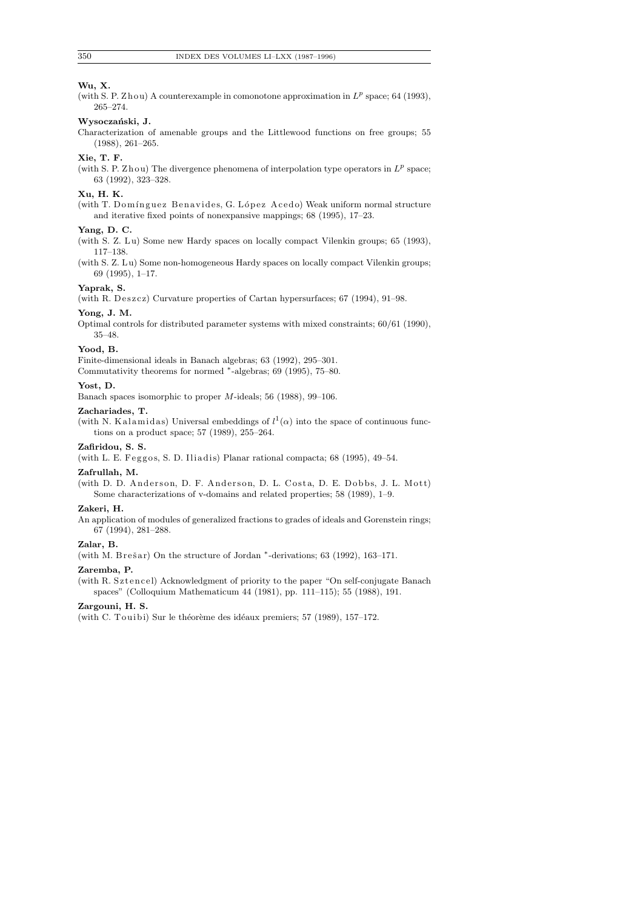# **Wu, X.**

(with S. P. Zhou) A counterexample in comonotone approximation in  $L^p$  space; 64 (1993), 265–274.

# Wysoczański, J.

Characterization of amenable groups and the Littlewood functions on free groups; 55 (1988), 261–265.

# **Xie, T. F.**

(with S. P. Zhou) The divergence phenomena of interpolation type operators in  $L^p$  space; 63 (1992), 323–328.

## **Xu, H. K.**

(with T. Domínguez Benavides, G. López Acedo) Weak uniform normal structure and iterative fixed points of nonexpansive mappings; 68 (1995), 17–23.

#### **Yang, D. C.**

(with S. Z. Lu) Some new Hardy spaces on locally compact Vilenkin groups; 65 (1993), 117–138.

(with S. Z. L u) Some non-homogeneous Hardy spaces on locally compact Vilenkin groups; 69 (1995), 1–17.

## **Yaprak, S.**

(with R. Deszcz) Curvature properties of Cartan hypersurfaces;  $67$  (1994), 91-98.

#### **Yong, J. M.**

Optimal controls for distributed parameter systems with mixed constraints; 60/61 (1990), 35–48.

# **Yood, B.**

Finite-dimensional ideals in Banach algebras; 63 (1992), 295–301. Commutativity theorems for normed *<sup>∗</sup>* -algebras; 69 (1995), 75–80.

# **Yost, D.**

Banach spaces isomorphic to proper *M*-ideals; 56 (1988), 99–106.

#### **Zachariades, T.**

(with N. Kalamidas) Universal embeddings of  $l^1(\alpha)$  into the space of continuous functions on a product space; 57 (1989), 255–264.

## **Zafiridou, S. S.**

(with L. E. Feggos, S. D. Iliadis) Planar rational compacta; 68 (1995), 49-54.

# **Zafrullah, M.**

(with D. D. Anderson, D. F. Anderson, D. L. Costa, D. E. Dobbs, J. L. Mott) Some characterizations of v-domains and related properties; 58 (1989), 1–9.

## **Zakeri, H.**

An application of modules of generalized fractions to grades of ideals and Gorenstein rings; 67 (1994), 281–288.

## **Zalar, B.**

(with M. Brešar) On the structure of Jordan <sup>\*</sup>-derivations; 63 (1992), 163-171.

#### **Zaremba, P.**

(with R. Sztencel) Acknowledgment of priority to the paper "On self-conjugate Banach spaces" (Colloquium Mathematicum 44 (1981), pp. 111–115); 55 (1988), 191.

## **Zargouni, H. S.**

(with C. Touibi) Sur le théorème des idéaux premiers; 57 (1989), 157-172.